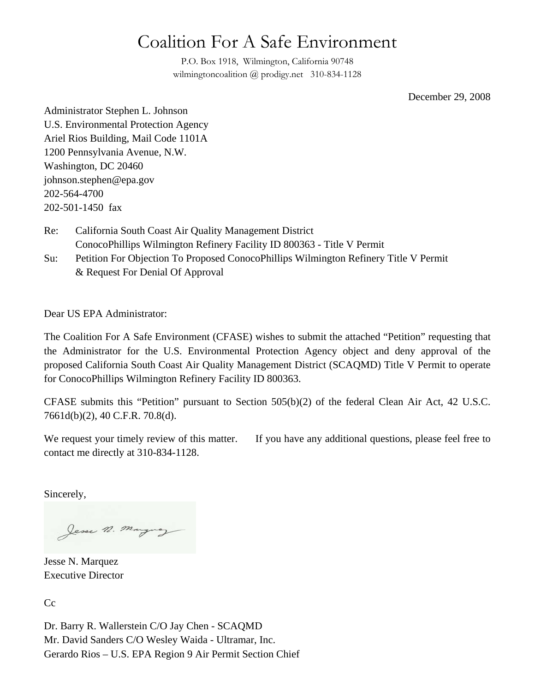# Coalition For A Safe Environment

P.O. Box 1918, Wilmington, California 90748 wilmingtoncoalition @ prodigy.net 310-834-1128

December 29, 2008

Administrator Stephen L. Johnson U.S. Environmental Protection Agency Ariel Rios Building, Mail Code 1101A 1200 Pennsylvania Avenue, N.W. Washington, DC 20460 johnson.stephen@epa.gov 202-564-4700 202-501-1450 fax

- Re: California South Coast Air Quality Management District ConocoPhillips Wilmington Refinery Facility ID 800363 - Title V Permit
- Su: Petition For Objection To Proposed ConocoPhillips Wilmington Refinery Title V Permit & Request For Denial Of Approval

Dear US EPA Administrator:

The Coalition For A Safe Environment (CFASE) wishes to submit the attached "Petition" requesting that the Administrator for the U.S. Environmental Protection Agency object and deny approval of the proposed California South Coast Air Quality Management District (SCAQMD) Title V Permit to operate for ConocoPhillips Wilmington Refinery Facility ID 800363.

CFASE submits this "Petition" pursuant to Section 505(b)(2) of the federal Clean Air Act, 42 U.S.C. 7661d(b)(2), 40 C.F.R. 70.8(d).

We request your timely review of this matter. If you have any additional questions, please feel free to contact me directly at 310-834-1128.

Sincerely,

Jesse n. Marguez

Jesse N. Marquez Executive Director

Cc

Dr. Barry R. Wallerstein C/O Jay Chen - SCAQMD Mr. David Sanders C/O Wesley Waida - Ultramar, Inc. Gerardo Rios – U.S. EPA Region 9 Air Permit Section Chief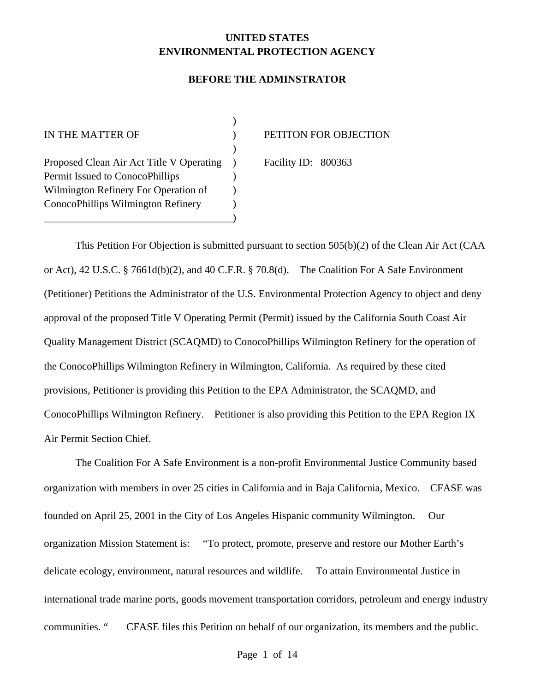## **UNITED STATES ENVIRONMENTAL PROTECTION AGENCY**

#### **BEFORE THE ADMINSTRATOR**

 $)$ Proposed Clean Air Act Title V Operating ) Facility ID: 800363 Permit Issued to ConocoPhillips (a) Wilmington Refinery For Operation of  $\qquad$  ) ConocoPhillips Wilmington Refinery (a) \_\_\_\_\_\_\_\_\_\_\_\_\_\_\_\_\_\_\_\_\_\_\_\_\_\_\_\_\_\_\_\_\_\_\_\_)

 $\overline{\phantom{a}}$ 

IN THE MATTER OF  $\qquad \qquad$  ) PETITON FOR OBJECTION

This Petition For Objection is submitted pursuant to section 505(b)(2) of the Clean Air Act (CAA or Act), 42 U.S.C. § 7661d(b)(2), and 40 C.F.R. § 70.8(d). The Coalition For A Safe Environment (Petitioner) Petitions the Administrator of the U.S. Environmental Protection Agency to object and deny approval of the proposed Title V Operating Permit (Permit) issued by the California South Coast Air Quality Management District (SCAQMD) to ConocoPhillips Wilmington Refinery for the operation of the ConocoPhillips Wilmington Refinery in Wilmington, California. As required by these cited provisions, Petitioner is providing this Petition to the EPA Administrator, the SCAQMD, and ConocoPhillips Wilmington Refinery. Petitioner is also providing this Petition to the EPA Region IX Air Permit Section Chief.

The Coalition For A Safe Environment is a non-profit Environmental Justice Community based organization with members in over 25 cities in California and in Baja California, Mexico. CFASE was founded on April 25, 2001 in the City of Los Angeles Hispanic community Wilmington. Our organization Mission Statement is: "To protect, promote, preserve and restore our Mother Earth's delicate ecology, environment, natural resources and wildlife. To attain Environmental Justice in international trade marine ports, goods movement transportation corridors, petroleum and energy industry communities. " CFASE files this Petition on behalf of our organization, its members and the public.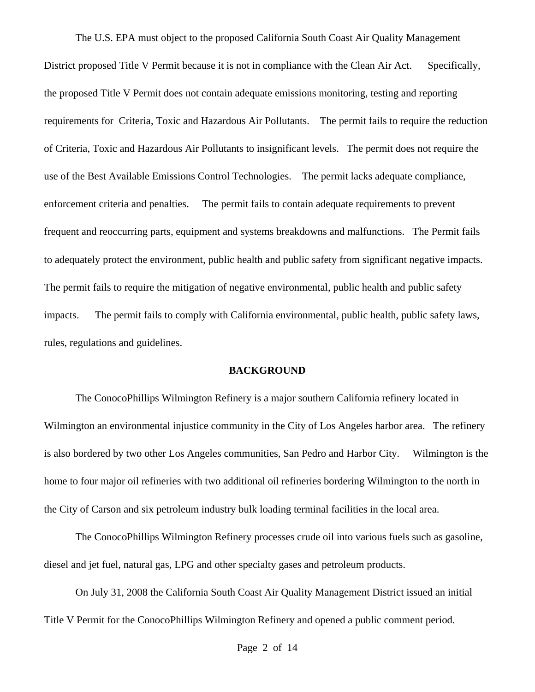The U.S. EPA must object to the proposed California South Coast Air Quality Management District proposed Title V Permit because it is not in compliance with the Clean Air Act. Specifically, the proposed Title V Permit does not contain adequate emissions monitoring, testing and reporting requirements for Criteria, Toxic and Hazardous Air Pollutants. The permit fails to require the reduction of Criteria, Toxic and Hazardous Air Pollutants to insignificant levels. The permit does not require the use of the Best Available Emissions Control Technologies. The permit lacks adequate compliance, enforcement criteria and penalties. The permit fails to contain adequate requirements to prevent frequent and reoccurring parts, equipment and systems breakdowns and malfunctions. The Permit fails to adequately protect the environment, public health and public safety from significant negative impacts. The permit fails to require the mitigation of negative environmental, public health and public safety impacts. The permit fails to comply with California environmental, public health, public safety laws, rules, regulations and guidelines.

#### **BACKGROUND**

The ConocoPhillips Wilmington Refinery is a major southern California refinery located in Wilmington an environmental injustice community in the City of Los Angeles harbor area. The refinery is also bordered by two other Los Angeles communities, San Pedro and Harbor City. Wilmington is the home to four major oil refineries with two additional oil refineries bordering Wilmington to the north in the City of Carson and six petroleum industry bulk loading terminal facilities in the local area.

 The ConocoPhillips Wilmington Refinery processes crude oil into various fuels such as gasoline, diesel and jet fuel, natural gas, LPG and other specialty gases and petroleum products.

 On July 31, 2008 the California South Coast Air Quality Management District issued an initial Title V Permit for the ConocoPhillips Wilmington Refinery and opened a public comment period.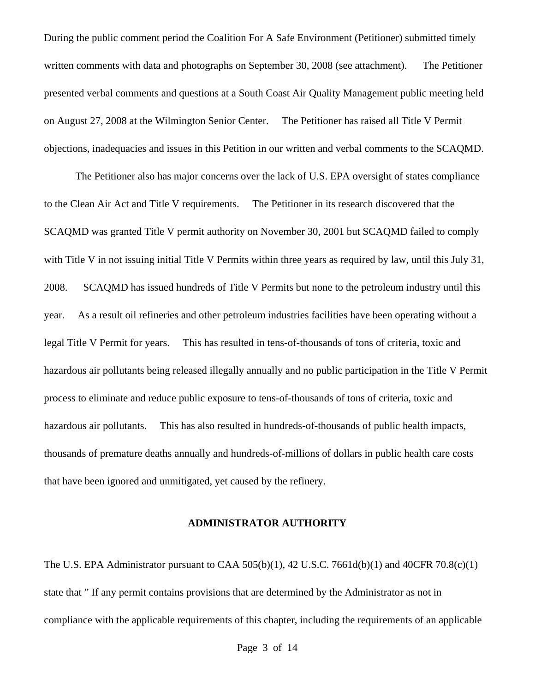During the public comment period the Coalition For A Safe Environment (Petitioner) submitted timely written comments with data and photographs on September 30, 2008 (see attachment). The Petitioner presented verbal comments and questions at a South Coast Air Quality Management public meeting held on August 27, 2008 at the Wilmington Senior Center. The Petitioner has raised all Title V Permit objections, inadequacies and issues in this Petition in our written and verbal comments to the SCAQMD.

 The Petitioner also has major concerns over the lack of U.S. EPA oversight of states compliance to the Clean Air Act and Title V requirements. The Petitioner in its research discovered that the SCAQMD was granted Title V permit authority on November 30, 2001 but SCAQMD failed to comply with Title V in not issuing initial Title V Permits within three years as required by law, until this July 31, 2008. SCAQMD has issued hundreds of Title V Permits but none to the petroleum industry until this year. As a result oil refineries and other petroleum industries facilities have been operating without a legal Title V Permit for years. This has resulted in tens-of-thousands of tons of criteria, toxic and hazardous air pollutants being released illegally annually and no public participation in the Title V Permit process to eliminate and reduce public exposure to tens-of-thousands of tons of criteria, toxic and hazardous air pollutants. This has also resulted in hundreds-of-thousands of public health impacts, thousands of premature deaths annually and hundreds-of-millions of dollars in public health care costs that have been ignored and unmitigated, yet caused by the refinery.

#### **ADMINISTRATOR AUTHORITY**

The U.S. EPA Administrator pursuant to CAA  $505(b)(1)$ , 42 U.S.C. 7661d(b)(1) and 40CFR 70.8(c)(1) state that " If any permit contains provisions that are determined by the Administrator as not in compliance with the applicable requirements of this chapter, including the requirements of an applicable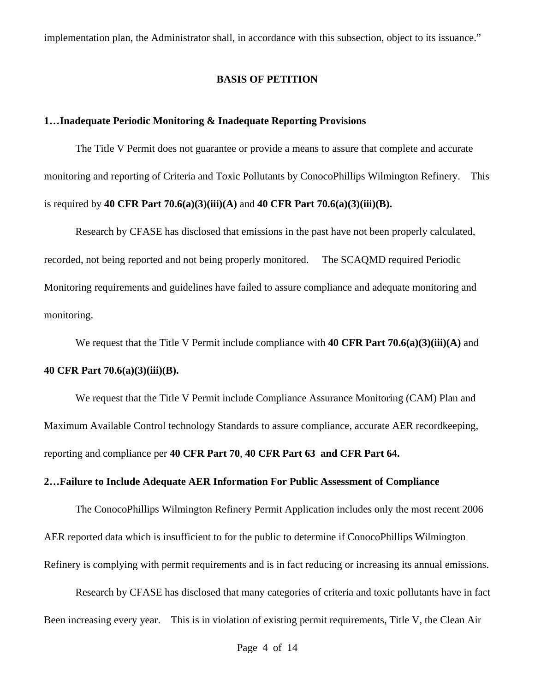implementation plan, the Administrator shall, in accordance with this subsection, object to its issuance."

#### **BASIS OF PETITION**

#### **1…Inadequate Periodic Monitoring & Inadequate Reporting Provisions**

The Title V Permit does not guarantee or provide a means to assure that complete and accurate monitoring and reporting of Criteria and Toxic Pollutants by ConocoPhillips Wilmington Refinery. This is required by **40 CFR Part 70.6(a)(3)(iii)(A)** and **40 CFR Part 70.6(a)(3)(iii)(B).**

Research by CFASE has disclosed that emissions in the past have not been properly calculated, recorded, not being reported and not being properly monitored. The SCAQMD required Periodic Monitoring requirements and guidelines have failed to assure compliance and adequate monitoring and monitoring.

We request that the Title V Permit include compliance with **40 CFR Part 70.6(a)(3)(iii)(A)** and **40 CFR Part 70.6(a)(3)(iii)(B).**

We request that the Title V Permit include Compliance Assurance Monitoring (CAM) Plan and Maximum Available Control technology Standards to assure compliance, accurate AER recordkeeping, reporting and compliance per **40 CFR Part 70**, **40 CFR Part 63 and CFR Part 64.** 

#### **2…Failure to Include Adequate AER Information For Public Assessment of Compliance**

The ConocoPhillips Wilmington Refinery Permit Application includes only the most recent 2006 AER reported data which is insufficient to for the public to determine if ConocoPhillips Wilmington Refinery is complying with permit requirements and is in fact reducing or increasing its annual emissions.

Research by CFASE has disclosed that many categories of criteria and toxic pollutants have in fact Been increasing every year. This is in violation of existing permit requirements, Title V, the Clean Air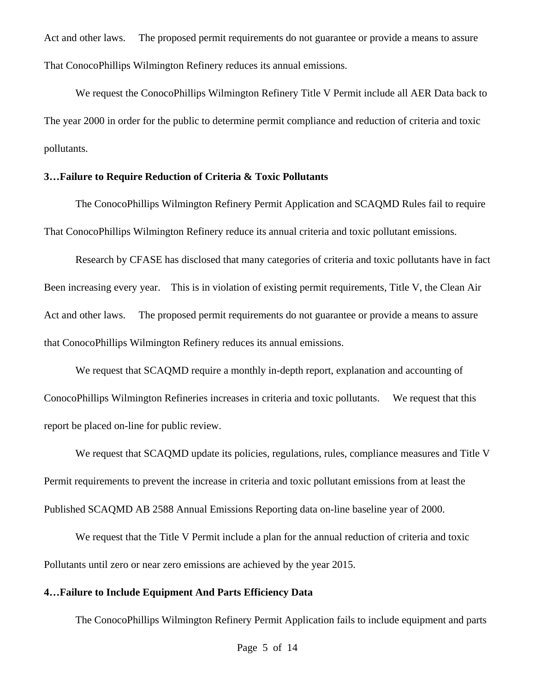Act and other laws. The proposed permit requirements do not guarantee or provide a means to assure That ConocoPhillips Wilmington Refinery reduces its annual emissions.

We request the ConocoPhillips Wilmington Refinery Title V Permit include all AER Data back to The year 2000 in order for the public to determine permit compliance and reduction of criteria and toxic pollutants.

#### **3…Failure to Require Reduction of Criteria & Toxic Pollutants**

The ConocoPhillips Wilmington Refinery Permit Application and SCAQMD Rules fail to require That ConocoPhillips Wilmington Refinery reduce its annual criteria and toxic pollutant emissions.

Research by CFASE has disclosed that many categories of criteria and toxic pollutants have in fact Been increasing every year. This is in violation of existing permit requirements, Title V, the Clean Air Act and other laws. The proposed permit requirements do not guarantee or provide a means to assure that ConocoPhillips Wilmington Refinery reduces its annual emissions.

We request that SCAQMD require a monthly in-depth report, explanation and accounting of ConocoPhillips Wilmington Refineries increases in criteria and toxic pollutants. We request that this report be placed on-line for public review.

We request that SCAQMD update its policies, regulations, rules, compliance measures and Title V Permit requirements to prevent the increase in criteria and toxic pollutant emissions from at least the Published SCAQMD AB 2588 Annual Emissions Reporting data on-line baseline year of 2000.

We request that the Title V Permit include a plan for the annual reduction of criteria and toxic Pollutants until zero or near zero emissions are achieved by the year 2015.

#### **4…Failure to Include Equipment And Parts Efficiency Data**

The ConocoPhillips Wilmington Refinery Permit Application fails to include equipment and parts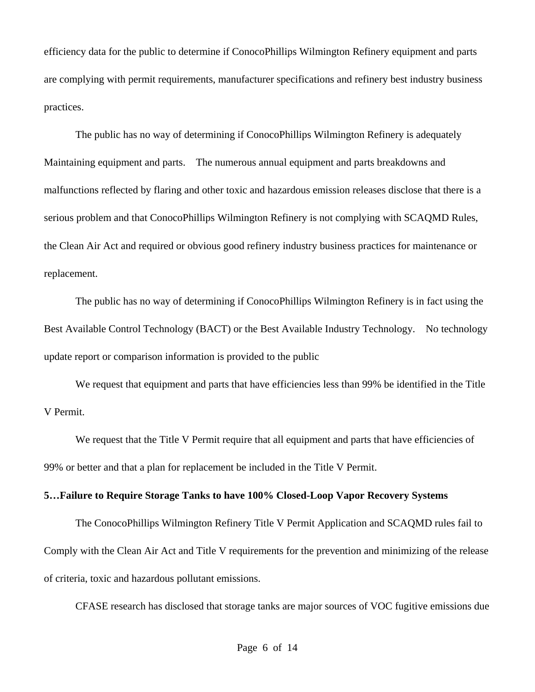efficiency data for the public to determine if ConocoPhillips Wilmington Refinery equipment and parts are complying with permit requirements, manufacturer specifications and refinery best industry business practices.

The public has no way of determining if ConocoPhillips Wilmington Refinery is adequately Maintaining equipment and parts. The numerous annual equipment and parts breakdowns and malfunctions reflected by flaring and other toxic and hazardous emission releases disclose that there is a serious problem and that ConocoPhillips Wilmington Refinery is not complying with SCAQMD Rules, the Clean Air Act and required or obvious good refinery industry business practices for maintenance or replacement.

The public has no way of determining if ConocoPhillips Wilmington Refinery is in fact using the Best Available Control Technology (BACT) or the Best Available Industry Technology. No technology update report or comparison information is provided to the public

We request that equipment and parts that have efficiencies less than 99% be identified in the Title V Permit.

We request that the Title V Permit require that all equipment and parts that have efficiencies of 99% or better and that a plan for replacement be included in the Title V Permit.

#### **5…Failure to Require Storage Tanks to have 100% Closed-Loop Vapor Recovery Systems**

The ConocoPhillips Wilmington Refinery Title V Permit Application and SCAQMD rules fail to Comply with the Clean Air Act and Title V requirements for the prevention and minimizing of the release of criteria, toxic and hazardous pollutant emissions.

CFASE research has disclosed that storage tanks are major sources of VOC fugitive emissions due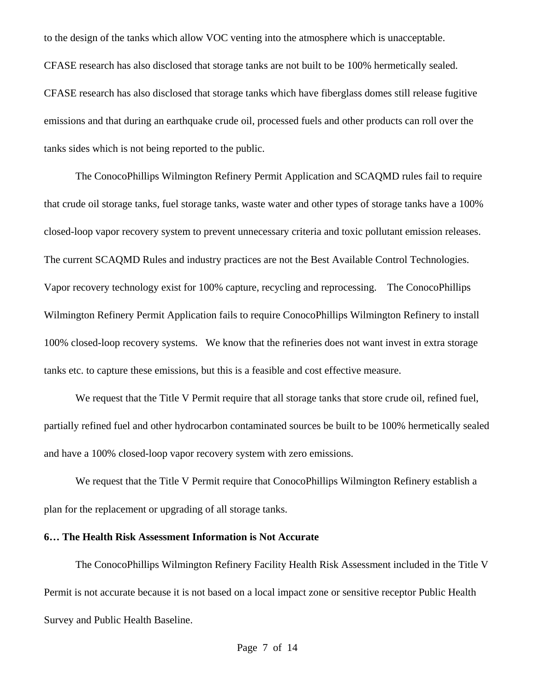to the design of the tanks which allow VOC venting into the atmosphere which is unacceptable. CFASE research has also disclosed that storage tanks are not built to be 100% hermetically sealed. CFASE research has also disclosed that storage tanks which have fiberglass domes still release fugitive emissions and that during an earthquake crude oil, processed fuels and other products can roll over the tanks sides which is not being reported to the public.

The ConocoPhillips Wilmington Refinery Permit Application and SCAQMD rules fail to require that crude oil storage tanks, fuel storage tanks, waste water and other types of storage tanks have a 100% closed-loop vapor recovery system to prevent unnecessary criteria and toxic pollutant emission releases. The current SCAQMD Rules and industry practices are not the Best Available Control Technologies. Vapor recovery technology exist for 100% capture, recycling and reprocessing. The ConocoPhillips Wilmington Refinery Permit Application fails to require ConocoPhillips Wilmington Refinery to install 100% closed-loop recovery systems. We know that the refineries does not want invest in extra storage tanks etc. to capture these emissions, but this is a feasible and cost effective measure.

We request that the Title V Permit require that all storage tanks that store crude oil, refined fuel, partially refined fuel and other hydrocarbon contaminated sources be built to be 100% hermetically sealed and have a 100% closed-loop vapor recovery system with zero emissions.

We request that the Title V Permit require that ConocoPhillips Wilmington Refinery establish a plan for the replacement or upgrading of all storage tanks.

#### **6… The Health Risk Assessment Information is Not Accurate**

The ConocoPhillips Wilmington Refinery Facility Health Risk Assessment included in the Title V Permit is not accurate because it is not based on a local impact zone or sensitive receptor Public Health Survey and Public Health Baseline.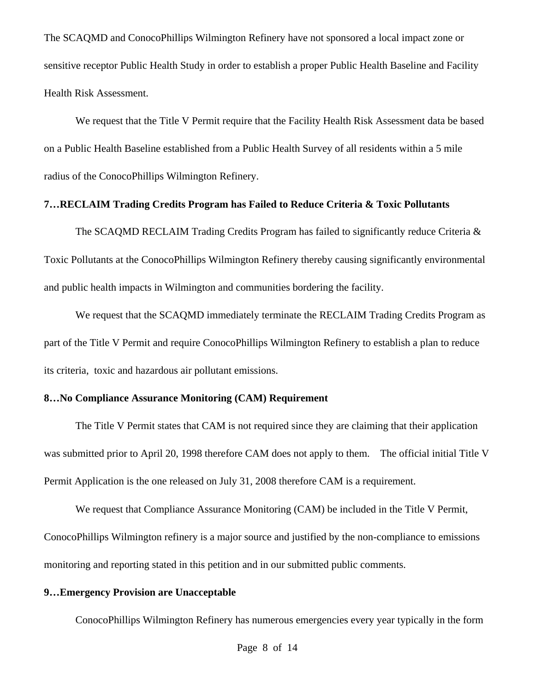The SCAQMD and ConocoPhillips Wilmington Refinery have not sponsored a local impact zone or sensitive receptor Public Health Study in order to establish a proper Public Health Baseline and Facility Health Risk Assessment.

We request that the Title V Permit require that the Facility Health Risk Assessment data be based on a Public Health Baseline established from a Public Health Survey of all residents within a 5 mile radius of the ConocoPhillips Wilmington Refinery.

#### **7…RECLAIM Trading Credits Program has Failed to Reduce Criteria & Toxic Pollutants**

The SCAQMD RECLAIM Trading Credits Program has failed to significantly reduce Criteria & Toxic Pollutants at the ConocoPhillips Wilmington Refinery thereby causing significantly environmental and public health impacts in Wilmington and communities bordering the facility.

We request that the SCAQMD immediately terminate the RECLAIM Trading Credits Program as part of the Title V Permit and require ConocoPhillips Wilmington Refinery to establish a plan to reduce its criteria, toxic and hazardous air pollutant emissions.

#### **8…No Compliance Assurance Monitoring (CAM) Requirement**

 The Title V Permit states that CAM is not required since they are claiming that their application was submitted prior to April 20, 1998 therefore CAM does not apply to them. The official initial Title V Permit Application is the one released on July 31, 2008 therefore CAM is a requirement.

 We request that Compliance Assurance Monitoring (CAM) be included in the Title V Permit, ConocoPhillips Wilmington refinery is a major source and justified by the non-compliance to emissions monitoring and reporting stated in this petition and in our submitted public comments.

#### **9…Emergency Provision are Unacceptable**

ConocoPhillips Wilmington Refinery has numerous emergencies every year typically in the form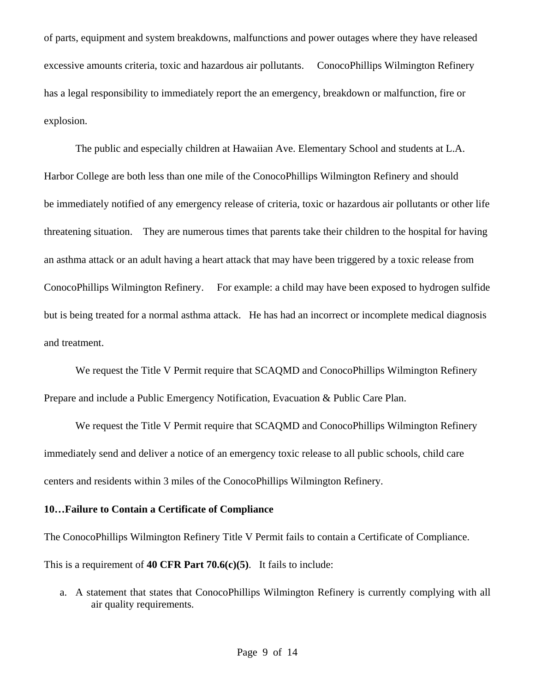of parts, equipment and system breakdowns, malfunctions and power outages where they have released excessive amounts criteria, toxic and hazardous air pollutants. ConocoPhillips Wilmington Refinery has a legal responsibility to immediately report the an emergency, breakdown or malfunction, fire or explosion.

The public and especially children at Hawaiian Ave. Elementary School and students at L.A. Harbor College are both less than one mile of the ConocoPhillips Wilmington Refinery and should be immediately notified of any emergency release of criteria, toxic or hazardous air pollutants or other life threatening situation. They are numerous times that parents take their children to the hospital for having an asthma attack or an adult having a heart attack that may have been triggered by a toxic release from ConocoPhillips Wilmington Refinery. For example: a child may have been exposed to hydrogen sulfide but is being treated for a normal asthma attack. He has had an incorrect or incomplete medical diagnosis and treatment.

We request the Title V Permit require that SCAQMD and ConocoPhillips Wilmington Refinery Prepare and include a Public Emergency Notification, Evacuation & Public Care Plan.

We request the Title V Permit require that SCAQMD and ConocoPhillips Wilmington Refinery immediately send and deliver a notice of an emergency toxic release to all public schools, child care centers and residents within 3 miles of the ConocoPhillips Wilmington Refinery.

#### **10…Failure to Contain a Certificate of Compliance**

The ConocoPhillips Wilmington Refinery Title V Permit fails to contain a Certificate of Compliance. This is a requirement of **40 CFR Part 70.6(c)(5)**. It fails to include:

a. A statement that states that ConocoPhillips Wilmington Refinery is currently complying with all air quality requirements.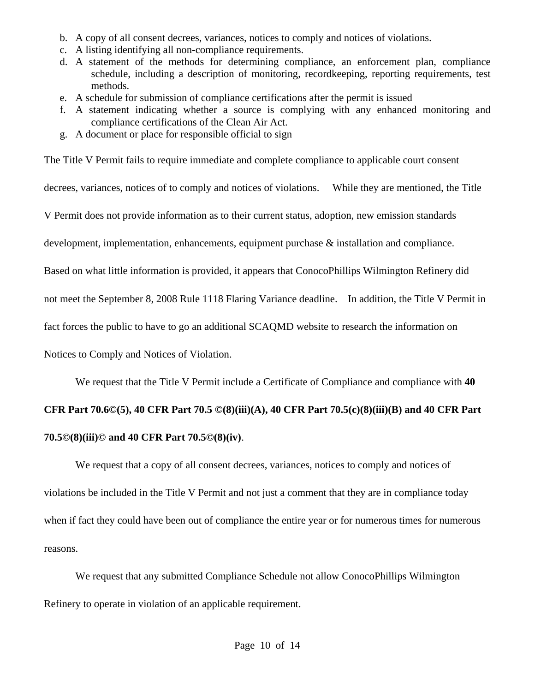- b. A copy of all consent decrees, variances, notices to comply and notices of violations.
- c. A listing identifying all non-compliance requirements.
- d. A statement of the methods for determining compliance, an enforcement plan, compliance schedule, including a description of monitoring, recordkeeping, reporting requirements, test methods.
- e. A schedule for submission of compliance certifications after the permit is issued
- f. A statement indicating whether a source is complying with any enhanced monitoring and compliance certifications of the Clean Air Act.
- g. A document or place for responsible official to sign

The Title V Permit fails to require immediate and complete compliance to applicable court consent

decrees, variances, notices of to comply and notices of violations. While they are mentioned, the Title

V Permit does not provide information as to their current status, adoption, new emission standards

development, implementation, enhancements, equipment purchase & installation and compliance.

Based on what little information is provided, it appears that ConocoPhillips Wilmington Refinery did

not meet the September 8, 2008 Rule 1118 Flaring Variance deadline. In addition, the Title V Permit in

fact forces the public to have to go an additional SCAQMD website to research the information on

Notices to Comply and Notices of Violation.

We request that the Title V Permit include a Certificate of Compliance and compliance with **40** 

# **CFR Part 70.6©(5), 40 CFR Part 70.5 ©(8)(iii)(A), 40 CFR Part 70.5(c)(8)(iii)(B) and 40 CFR Part 70.5©(8)(iii)© and 40 CFR Part 70.5©(8)(iv)**.

We request that a copy of all consent decrees, variances, notices to comply and notices of violations be included in the Title V Permit and not just a comment that they are in compliance today when if fact they could have been out of compliance the entire year or for numerous times for numerous reasons.

We request that any submitted Compliance Schedule not allow ConocoPhillips Wilmington Refinery to operate in violation of an applicable requirement.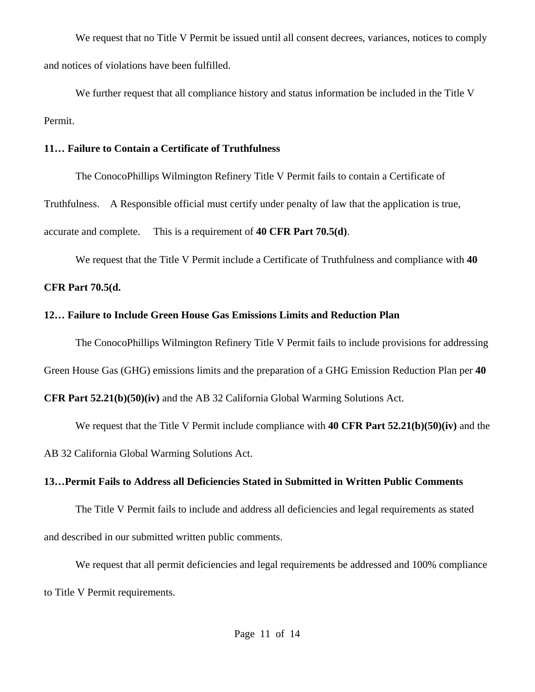We request that no Title V Permit be issued until all consent decrees, variances, notices to comply and notices of violations have been fulfilled.

We further request that all compliance history and status information be included in the Title V Permit.

#### **11… Failure to Contain a Certificate of Truthfulness**

The ConocoPhillips Wilmington Refinery Title V Permit fails to contain a Certificate of Truthfulness. A Responsible official must certify under penalty of law that the application is true, accurate and complete. This is a requirement of **40 CFR Part 70.5(d)**.

We request that the Title V Permit include a Certificate of Truthfulness and compliance with **40** 

## **CFR Part 70.5(d.**

## **12… Failure to Include Green House Gas Emissions Limits and Reduction Plan**

The ConocoPhillips Wilmington Refinery Title V Permit fails to include provisions for addressing

Green House Gas (GHG) emissions limits and the preparation of a GHG Emission Reduction Plan per **40** 

**CFR Part 52.21(b)(50)(iv)** and the AB 32 California Global Warming Solutions Act.

We request that the Title V Permit include compliance with **40 CFR Part 52.21(b)(50)(iv)** and the AB 32 California Global Warming Solutions Act.

## **13…Permit Fails to Address all Deficiencies Stated in Submitted in Written Public Comments**

 The Title V Permit fails to include and address all deficiencies and legal requirements as stated and described in our submitted written public comments.

We request that all permit deficiencies and legal requirements be addressed and 100% compliance to Title V Permit requirements.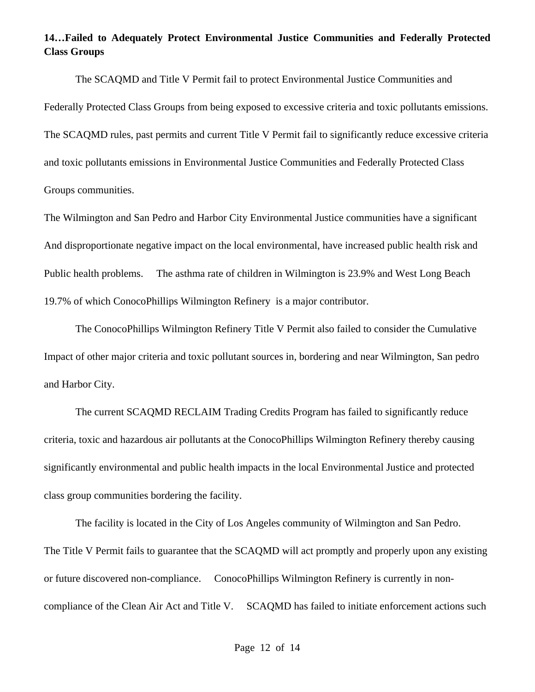## **14…Failed to Adequately Protect Environmental Justice Communities and Federally Protected Class Groups**

The SCAQMD and Title V Permit fail to protect Environmental Justice Communities and Federally Protected Class Groups from being exposed to excessive criteria and toxic pollutants emissions. The SCAQMD rules, past permits and current Title V Permit fail to significantly reduce excessive criteria and toxic pollutants emissions in Environmental Justice Communities and Federally Protected Class Groups communities.

The Wilmington and San Pedro and Harbor City Environmental Justice communities have a significant And disproportionate negative impact on the local environmental, have increased public health risk and Public health problems. The asthma rate of children in Wilmington is 23.9% and West Long Beach 19.7% of which ConocoPhillips Wilmington Refinery is a major contributor.

The ConocoPhillips Wilmington Refinery Title V Permit also failed to consider the Cumulative Impact of other major criteria and toxic pollutant sources in, bordering and near Wilmington, San pedro and Harbor City.

The current SCAQMD RECLAIM Trading Credits Program has failed to significantly reduce criteria, toxic and hazardous air pollutants at the ConocoPhillips Wilmington Refinery thereby causing significantly environmental and public health impacts in the local Environmental Justice and protected class group communities bordering the facility.

The facility is located in the City of Los Angeles community of Wilmington and San Pedro. The Title V Permit fails to guarantee that the SCAQMD will act promptly and properly upon any existing or future discovered non-compliance. ConocoPhillips Wilmington Refinery is currently in noncompliance of the Clean Air Act and Title V. SCAQMD has failed to initiate enforcement actions such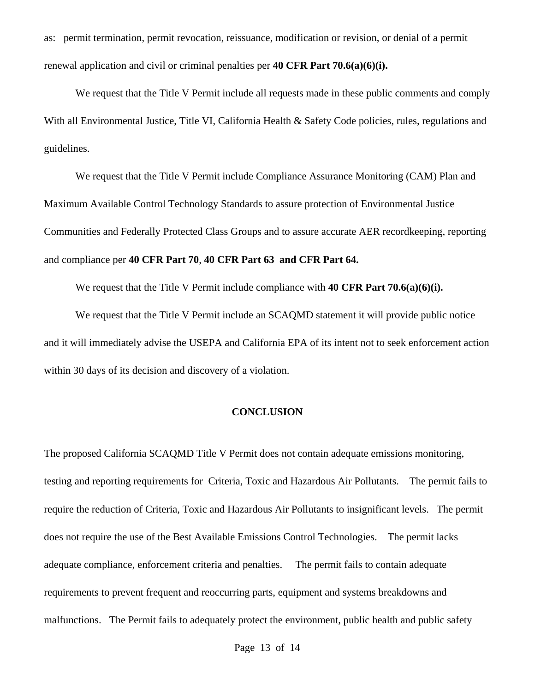as: permit termination, permit revocation, reissuance, modification or revision, or denial of a permit renewal application and civil or criminal penalties per **40 CFR Part 70.6(a)(6)(i).** 

We request that the Title V Permit include all requests made in these public comments and comply With all Environmental Justice, Title VI, California Health & Safety Code policies, rules, regulations and guidelines.

We request that the Title V Permit include Compliance Assurance Monitoring (CAM) Plan and Maximum Available Control Technology Standards to assure protection of Environmental Justice Communities and Federally Protected Class Groups and to assure accurate AER recordkeeping, reporting and compliance per **40 CFR Part 70**, **40 CFR Part 63 and CFR Part 64.** 

We request that the Title V Permit include compliance with **40 CFR Part 70.6(a)(6)(i).** 

We request that the Title V Permit include an SCAQMD statement it will provide public notice and it will immediately advise the USEPA and California EPA of its intent not to seek enforcement action within 30 days of its decision and discovery of a violation.

#### **CONCLUSION**

The proposed California SCAQMD Title V Permit does not contain adequate emissions monitoring, testing and reporting requirements for Criteria, Toxic and Hazardous Air Pollutants. The permit fails to require the reduction of Criteria, Toxic and Hazardous Air Pollutants to insignificant levels. The permit does not require the use of the Best Available Emissions Control Technologies. The permit lacks adequate compliance, enforcement criteria and penalties. The permit fails to contain adequate requirements to prevent frequent and reoccurring parts, equipment and systems breakdowns and malfunctions. The Permit fails to adequately protect the environment, public health and public safety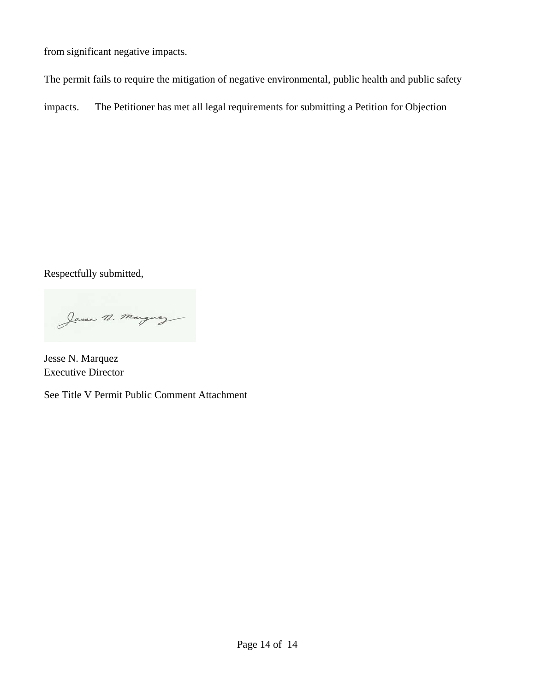from significant negative impacts.

The permit fails to require the mitigation of negative environmental, public health and public safety

impacts. The Petitioner has met all legal requirements for submitting a Petition for Objection

Respectfully submitted,

Jesse n. marguez

Jesse N. Marquez Executive Director

See Title V Permit Public Comment Attachment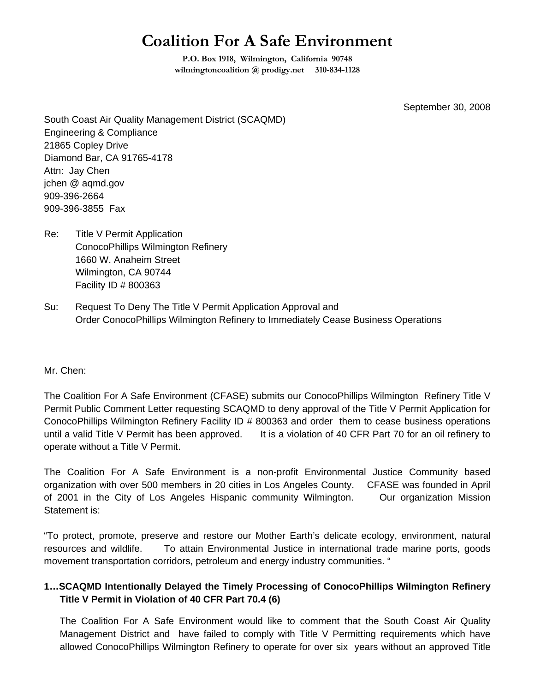## **Coalition For A Safe Environment**

**P.O. Box 1918, Wilmington, California 90748 wilmingtoncoalition @ prodigy.net 310-834-1128** 

September 30, 2008

South Coast Air Quality Management District (SCAQMD) Engineering & Compliance 21865 Copley Drive Diamond Bar, CA 91765-4178 Attn: Jay Chen jchen @ aqmd.gov 909-396-2664 909-396-3855 Fax

- Re: Title V Permit Application ConocoPhillips Wilmington Refinery 1660 W. Anaheim Street Wilmington, CA 90744 Facility ID # 800363
- Su: Request To Deny The Title V Permit Application Approval and Order ConocoPhillips Wilmington Refinery to Immediately Cease Business Operations

#### Mr. Chen:

The Coalition For A Safe Environment (CFASE) submits our ConocoPhillips Wilmington Refinery Title V Permit Public Comment Letter requesting SCAQMD to deny approval of the Title V Permit Application for ConocoPhillips Wilmington Refinery Facility ID # 800363 and order them to cease business operations until a valid Title V Permit has been approved. It is a violation of 40 CFR Part 70 for an oil refinery to operate without a Title V Permit.

The Coalition For A Safe Environment is a non-profit Environmental Justice Community based organization with over 500 members in 20 cities in Los Angeles County. CFASE was founded in April of 2001 in the City of Los Angeles Hispanic community Wilmington. Our organization Mission Statement is:

"To protect, promote, preserve and restore our Mother Earth's delicate ecology, environment, natural resources and wildlife. To attain Environmental Justice in international trade marine ports, goods movement transportation corridors, petroleum and energy industry communities. "

### **1…SCAQMD Intentionally Delayed the Timely Processing of ConocoPhillips Wilmington Refinery Title V Permit in Violation of 40 CFR Part 70.4 (6)**

The Coalition For A Safe Environment would like to comment that the South Coast Air Quality Management District and have failed to comply with Title V Permitting requirements which have allowed ConocoPhillips Wilmington Refinery to operate for over six years without an approved Title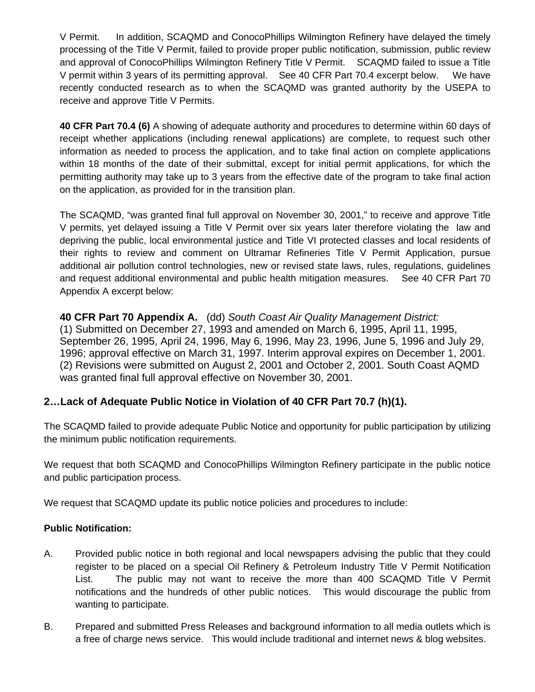V Permit. In addition, SCAQMD and ConocoPhillips Wilmington Refinery have delayed the timely processing of the Title V Permit, failed to provide proper public notification, submission, public review and approval of ConocoPhillips Wilmington Refinery Title V Permit. SCAQMD failed to issue a Title V permit within 3 years of its permitting approval. See 40 CFR Part 70.4 excerpt below. We have recently conducted research as to when the SCAQMD was granted authority by the USEPA to receive and approve Title V Permits.

**40 CFR Part 70.4 (6)** A showing of adequate authority and procedures to determine within 60 days of receipt whether applications (including renewal applications) are complete, to request such other information as needed to process the application, and to take final action on complete applications within 18 months of the date of their submittal, except for initial permit applications, for which the permitting authority may take up to 3 years from the effective date of the program to take final action on the application, as provided for in the transition plan.

The SCAQMD, "was granted final full approval on November 30, 2001," to receive and approve Title V permits, yet delayed issuing a Title V Permit over six years later therefore violating the law and depriving the public, local environmental justice and Title VI protected classes and local residents of their rights to review and comment on Ultramar Refineries Title V Permit Application, pursue additional air pollution control technologies, new or revised state laws, rules, regulations, guidelines and request additional environmental and public health mitigation measures. See 40 CFR Part 70 Appendix A excerpt below:

**40 CFR Part 70 Appendix A.** (dd) *South Coast Air Quality Management District:*  (1) Submitted on December 27, 1993 and amended on March 6, 1995, April 11, 1995, September 26, 1995, April 24, 1996, May 6, 1996, May 23, 1996, June 5, 1996 and July 29, 1996; approval effective on March 31, 1997. Interim approval expires on December 1, 2001. (2) Revisions were submitted on August 2, 2001 and October 2, 2001. South Coast AQMD was granted final full approval effective on November 30, 2001.

## **2…Lack of Adequate Public Notice in Violation of 40 CFR Part 70.7 (h)(1).**

The SCAQMD failed to provide adequate Public Notice and opportunity for public participation by utilizing the minimum public notification requirements.

We request that both SCAQMD and ConocoPhillips Wilmington Refinery participate in the public notice and public participation process.

We request that SCAQMD update its public notice policies and procedures to include:

### **Public Notification:**

- A. Provided public notice in both regional and local newspapers advising the public that they could register to be placed on a special Oil Refinery & Petroleum Industry Title V Permit Notification List. The public may not want to receive the more than 400 SCAQMD Title V Permit notifications and the hundreds of other public notices. This would discourage the public from wanting to participate.
- B. Prepared and submitted Press Releases and background information to all media outlets which is a free of charge news service. This would include traditional and internet news & blog websites.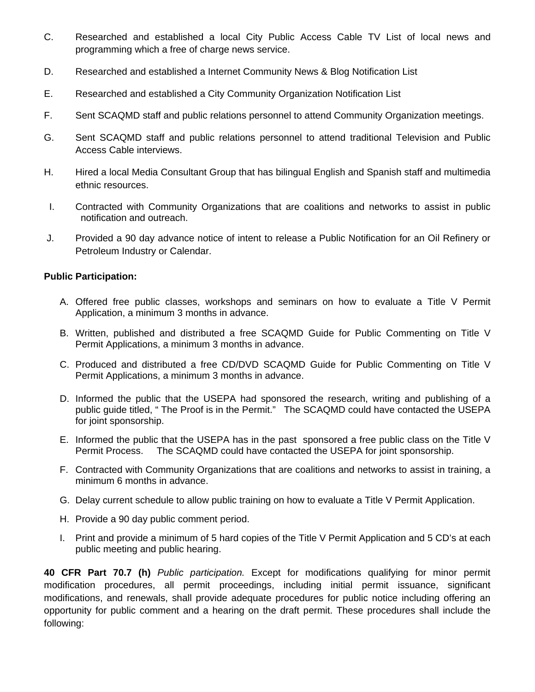- C. Researched and established a local City Public Access Cable TV List of local news and programming which a free of charge news service.
- D. Researched and established a Internet Community News & Blog Notification List
- E. Researched and established a City Community Organization Notification List
- F. Sent SCAQMD staff and public relations personnel to attend Community Organization meetings.
- G. Sent SCAQMD staff and public relations personnel to attend traditional Television and Public Access Cable interviews.
- H. Hired a local Media Consultant Group that has bilingual English and Spanish staff and multimedia ethnic resources.
- I. Contracted with Community Organizations that are coalitions and networks to assist in public notification and outreach.
- J. Provided a 90 day advance notice of intent to release a Public Notification for an Oil Refinery or Petroleum Industry or Calendar.

#### **Public Participation:**

- A. Offered free public classes, workshops and seminars on how to evaluate a Title V Permit Application, a minimum 3 months in advance.
- B. Written, published and distributed a free SCAQMD Guide for Public Commenting on Title V Permit Applications, a minimum 3 months in advance.
- C. Produced and distributed a free CD/DVD SCAQMD Guide for Public Commenting on Title V Permit Applications, a minimum 3 months in advance.
- D. Informed the public that the USEPA had sponsored the research, writing and publishing of a public guide titled, " The Proof is in the Permit." The SCAQMD could have contacted the USEPA for joint sponsorship.
- E. Informed the public that the USEPA has in the past sponsored a free public class on the Title V Permit Process. The SCAQMD could have contacted the USEPA for joint sponsorship.
- F. Contracted with Community Organizations that are coalitions and networks to assist in training, a minimum 6 months in advance.
- G. Delay current schedule to allow public training on how to evaluate a Title V Permit Application.
- H. Provide a 90 day public comment period.
- I. Print and provide a minimum of 5 hard copies of the Title V Permit Application and 5 CD's at each public meeting and public hearing.

**40 CFR Part 70.7 (h)** *Public participation.* Except for modifications qualifying for minor permit modification procedures, all permit proceedings, including initial permit issuance, significant modifications, and renewals, shall provide adequate procedures for public notice including offering an opportunity for public comment and a hearing on the draft permit. These procedures shall include the following: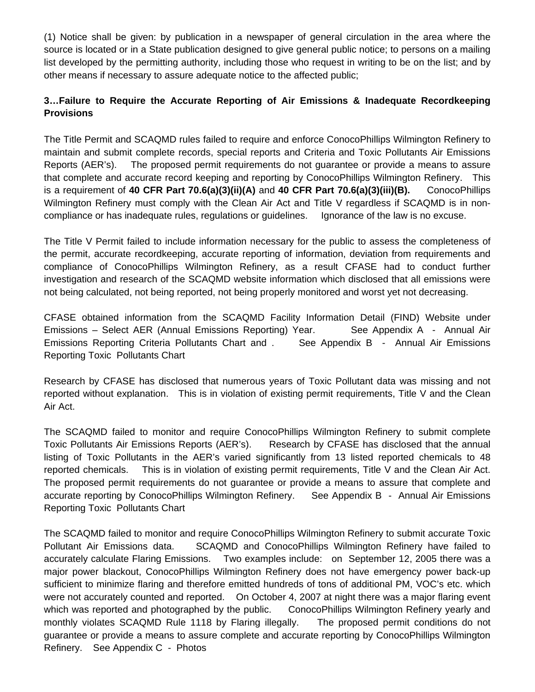(1) Notice shall be given: by publication in a newspaper of general circulation in the area where the source is located or in a State publication designed to give general public notice; to persons on a mailing list developed by the permitting authority, including those who request in writing to be on the list; and by other means if necessary to assure adequate notice to the affected public;

## **3…Failure to Require the Accurate Reporting of Air Emissions & Inadequate Recordkeeping Provisions**

The Title Permit and SCAQMD rules failed to require and enforce ConocoPhillips Wilmington Refinery to maintain and submit complete records, special reports and Criteria and Toxic Pollutants Air Emissions Reports (AER's). The proposed permit requirements do not guarantee or provide a means to assure that complete and accurate record keeping and reporting by ConocoPhillips Wilmington Refinery. This is a requirement of **40 CFR Part 70.6(a)(3)(ii)(A)** and **40 CFR Part 70.6(a)(3)(iii)(B).** ConocoPhillips Wilmington Refinery must comply with the Clean Air Act and Title V regardless if SCAQMD is in noncompliance or has inadequate rules, regulations or guidelines. Ignorance of the law is no excuse.

The Title V Permit failed to include information necessary for the public to assess the completeness of the permit, accurate recordkeeping, accurate reporting of information, deviation from requirements and compliance of ConocoPhillips Wilmington Refinery, as a result CFASE had to conduct further investigation and research of the SCAQMD website information which disclosed that all emissions were not being calculated, not being reported, not being properly monitored and worst yet not decreasing.

CFASE obtained information from the SCAQMD Facility Information Detail (FIND) Website under Emissions – Select AER (Annual Emissions Reporting) Year. See Appendix A - Annual Air Emissions Reporting Criteria Pollutants Chart and . See Appendix B - Annual Air Emissions Reporting Toxic Pollutants Chart

Research by CFASE has disclosed that numerous years of Toxic Pollutant data was missing and not reported without explanation. This is in violation of existing permit requirements, Title V and the Clean Air Act.

The SCAQMD failed to monitor and require ConocoPhillips Wilmington Refinery to submit complete Toxic Pollutants Air Emissions Reports (AER's). Research by CFASE has disclosed that the annual listing of Toxic Pollutants in the AER's varied significantly from 13 listed reported chemicals to 48 reported chemicals. This is in violation of existing permit requirements, Title V and the Clean Air Act. The proposed permit requirements do not guarantee or provide a means to assure that complete and accurate reporting by ConocoPhillips Wilmington Refinery. See Appendix B - Annual Air Emissions Reporting Toxic Pollutants Chart

The SCAQMD failed to monitor and require ConocoPhillips Wilmington Refinery to submit accurate Toxic Pollutant Air Emissions data. SCAQMD and ConocoPhillips Wilmington Refinery have failed to accurately calculate Flaring Emissions. Two examples include: on September 12, 2005 there was a major power blackout, ConocoPhillips Wilmington Refinery does not have emergency power back-up sufficient to minimize flaring and therefore emitted hundreds of tons of additional PM, VOC's etc. which were not accurately counted and reported. On October 4, 2007 at night there was a major flaring event which was reported and photographed by the public. ConocoPhillips Wilmington Refinery yearly and monthly violates SCAQMD Rule 1118 by Flaring illegally. The proposed permit conditions do not guarantee or provide a means to assure complete and accurate reporting by ConocoPhillips Wilmington Refinery. See Appendix C - Photos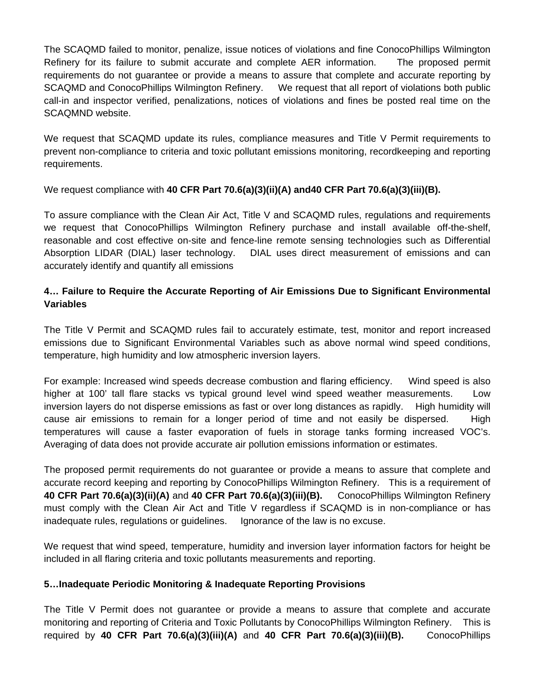The SCAQMD failed to monitor, penalize, issue notices of violations and fine ConocoPhillips Wilmington Refinery for its failure to submit accurate and complete AER information. The proposed permit requirements do not guarantee or provide a means to assure that complete and accurate reporting by SCAQMD and ConocoPhillips Wilmington Refinery. We request that all report of violations both public call-in and inspector verified, penalizations, notices of violations and fines be posted real time on the SCAQMND website.

We request that SCAQMD update its rules, compliance measures and Title V Permit requirements to prevent non-compliance to criteria and toxic pollutant emissions monitoring, recordkeeping and reporting requirements.

We request compliance with **40 CFR Part 70.6(a)(3)(ii)(A) and40 CFR Part 70.6(a)(3)(iii)(B).**

To assure compliance with the Clean Air Act, Title V and SCAQMD rules, regulations and requirements we request that ConocoPhillips Wilmington Refinery purchase and install available off-the-shelf, reasonable and cost effective on-site and fence-line remote sensing technologies such as Differential Absorption LIDAR (DIAL) laser technology. DIAL uses direct measurement of emissions and can accurately identify and quantify all emissions

### **4… Failure to Require the Accurate Reporting of Air Emissions Due to Significant Environmental Variables**

The Title V Permit and SCAQMD rules fail to accurately estimate, test, monitor and report increased emissions due to Significant Environmental Variables such as above normal wind speed conditions, temperature, high humidity and low atmospheric inversion layers.

For example: Increased wind speeds decrease combustion and flaring efficiency. Wind speed is also higher at 100' tall flare stacks vs typical ground level wind speed weather measurements. Low inversion layers do not disperse emissions as fast or over long distances as rapidly. High humidity will cause air emissions to remain for a longer period of time and not easily be dispersed. High temperatures will cause a faster evaporation of fuels in storage tanks forming increased VOC's. Averaging of data does not provide accurate air pollution emissions information or estimates.

The proposed permit requirements do not guarantee or provide a means to assure that complete and accurate record keeping and reporting by ConocoPhillips Wilmington Refinery. This is a requirement of **40 CFR Part 70.6(a)(3)(ii)(A)** and **40 CFR Part 70.6(a)(3)(iii)(B).** ConocoPhillips Wilmington Refinery must comply with the Clean Air Act and Title V regardless if SCAQMD is in non-compliance or has inadequate rules, regulations or guidelines. Ignorance of the law is no excuse.

We request that wind speed, temperature, humidity and inversion layer information factors for height be included in all flaring criteria and toxic pollutants measurements and reporting.

#### **5…Inadequate Periodic Monitoring & Inadequate Reporting Provisions**

The Title V Permit does not guarantee or provide a means to assure that complete and accurate monitoring and reporting of Criteria and Toxic Pollutants by ConocoPhillips Wilmington Refinery. This is required by **40 CFR Part 70.6(a)(3)(iii)(A)** and **40 CFR Part 70.6(a)(3)(iii)(B).** ConocoPhillips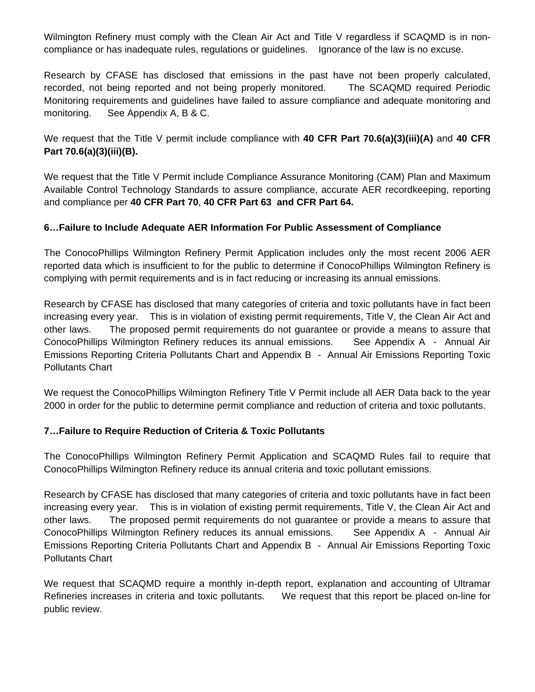Wilmington Refinery must comply with the Clean Air Act and Title V regardless if SCAQMD is in noncompliance or has inadequate rules, regulations or guidelines. Ignorance of the law is no excuse.

Research by CFASE has disclosed that emissions in the past have not been properly calculated, recorded, not being reported and not being properly monitored. The SCAQMD required Periodic Monitoring requirements and guidelines have failed to assure compliance and adequate monitoring and monitoring. See Appendix A, B & C.

### We request that the Title V permit include compliance with **40 CFR Part 70.6(a)(3)(iii)(A)** and **40 CFR Part 70.6(a)(3)(iii)(B).**

We request that the Title V Permit include Compliance Assurance Monitoring (CAM) Plan and Maximum Available Control Technology Standards to assure compliance, accurate AER recordkeeping, reporting and compliance per **40 CFR Part 70**, **40 CFR Part 63 and CFR Part 64.** 

### **6…Failure to Include Adequate AER Information For Public Assessment of Compliance**

The ConocoPhillips Wilmington Refinery Permit Application includes only the most recent 2006 AER reported data which is insufficient to for the public to determine if ConocoPhillips Wilmington Refinery is complying with permit requirements and is in fact reducing or increasing its annual emissions.

Research by CFASE has disclosed that many categories of criteria and toxic pollutants have in fact been increasing every year. This is in violation of existing permit requirements, Title V, the Clean Air Act and other laws. The proposed permit requirements do not guarantee or provide a means to assure that ConocoPhillips Wilmington Refinery reduces its annual emissions. See Appendix A - Annual Air Emissions Reporting Criteria Pollutants Chart and Appendix B - Annual Air Emissions Reporting Toxic Pollutants Chart

We request the ConocoPhillips Wilmington Refinery Title V Permit include all AER Data back to the year 2000 in order for the public to determine permit compliance and reduction of criteria and toxic pollutants.

### **7…Failure to Require Reduction of Criteria & Toxic Pollutants**

The ConocoPhillips Wilmington Refinery Permit Application and SCAQMD Rules fail to require that ConocoPhillips Wilmington Refinery reduce its annual criteria and toxic pollutant emissions.

Research by CFASE has disclosed that many categories of criteria and toxic pollutants have in fact been increasing every year. This is in violation of existing permit requirements, Title V, the Clean Air Act and other laws. The proposed permit requirements do not guarantee or provide a means to assure that ConocoPhillips Wilmington Refinery reduces its annual emissions. See Appendix A - Annual Air Emissions Reporting Criteria Pollutants Chart and Appendix B - Annual Air Emissions Reporting Toxic Pollutants Chart

We request that SCAQMD require a monthly in-depth report, explanation and accounting of Ultramar Refineries increases in criteria and toxic pollutants. We request that this report be placed on-line for public review.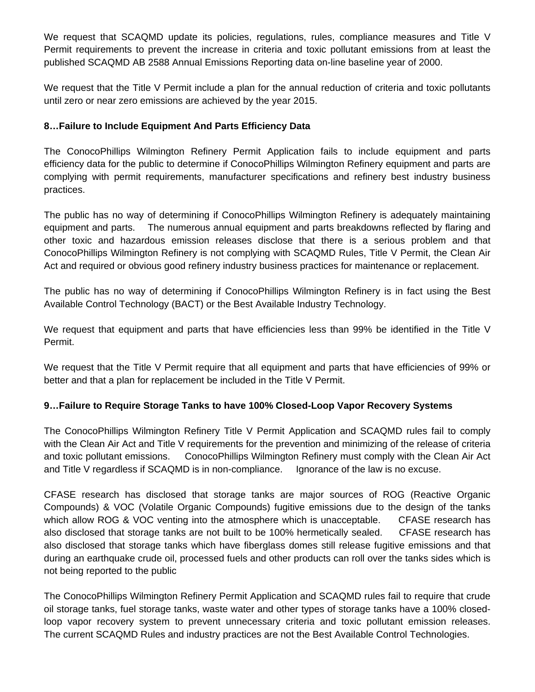We request that SCAQMD update its policies, regulations, rules, compliance measures and Title V Permit requirements to prevent the increase in criteria and toxic pollutant emissions from at least the published SCAQMD AB 2588 Annual Emissions Reporting data on-line baseline year of 2000.

We request that the Title V Permit include a plan for the annual reduction of criteria and toxic pollutants until zero or near zero emissions are achieved by the year 2015.

#### **8…Failure to Include Equipment And Parts Efficiency Data**

The ConocoPhillips Wilmington Refinery Permit Application fails to include equipment and parts efficiency data for the public to determine if ConocoPhillips Wilmington Refinery equipment and parts are complying with permit requirements, manufacturer specifications and refinery best industry business practices.

The public has no way of determining if ConocoPhillips Wilmington Refinery is adequately maintaining equipment and parts. The numerous annual equipment and parts breakdowns reflected by flaring and other toxic and hazardous emission releases disclose that there is a serious problem and that ConocoPhillips Wilmington Refinery is not complying with SCAQMD Rules, Title V Permit, the Clean Air Act and required or obvious good refinery industry business practices for maintenance or replacement.

The public has no way of determining if ConocoPhillips Wilmington Refinery is in fact using the Best Available Control Technology (BACT) or the Best Available Industry Technology.

We request that equipment and parts that have efficiencies less than 99% be identified in the Title V Permit.

We request that the Title V Permit require that all equipment and parts that have efficiencies of 99% or better and that a plan for replacement be included in the Title V Permit.

### **9…Failure to Require Storage Tanks to have 100% Closed-Loop Vapor Recovery Systems**

The ConocoPhillips Wilmington Refinery Title V Permit Application and SCAQMD rules fail to comply with the Clean Air Act and Title V requirements for the prevention and minimizing of the release of criteria and toxic pollutant emissions. ConocoPhillips Wilmington Refinery must comply with the Clean Air Act and Title V regardless if SCAQMD is in non-compliance. Ignorance of the law is no excuse.

CFASE research has disclosed that storage tanks are major sources of ROG (Reactive Organic Compounds) & VOC (Volatile Organic Compounds) fugitive emissions due to the design of the tanks which allow ROG & VOC venting into the atmosphere which is unacceptable. CFASE research has also disclosed that storage tanks are not built to be 100% hermetically sealed. CFASE research has also disclosed that storage tanks which have fiberglass domes still release fugitive emissions and that during an earthquake crude oil, processed fuels and other products can roll over the tanks sides which is not being reported to the public

The ConocoPhillips Wilmington Refinery Permit Application and SCAQMD rules fail to require that crude oil storage tanks, fuel storage tanks, waste water and other types of storage tanks have a 100% closedloop vapor recovery system to prevent unnecessary criteria and toxic pollutant emission releases. The current SCAQMD Rules and industry practices are not the Best Available Control Technologies.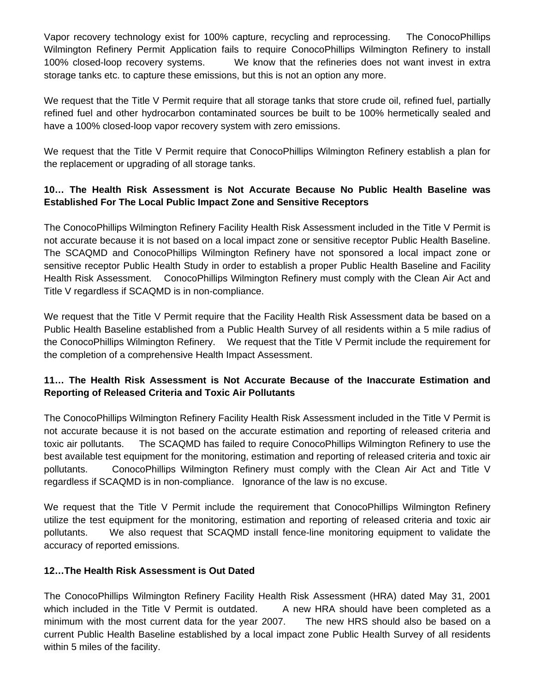Vapor recovery technology exist for 100% capture, recycling and reprocessing. The ConocoPhillips Wilmington Refinery Permit Application fails to require ConocoPhillips Wilmington Refinery to install 100% closed-loop recovery systems. We know that the refineries does not want invest in extra storage tanks etc. to capture these emissions, but this is not an option any more.

We request that the Title V Permit require that all storage tanks that store crude oil, refined fuel, partially refined fuel and other hydrocarbon contaminated sources be built to be 100% hermetically sealed and have a 100% closed-loop vapor recovery system with zero emissions.

We request that the Title V Permit require that ConocoPhillips Wilmington Refinery establish a plan for the replacement or upgrading of all storage tanks.

## **10… The Health Risk Assessment is Not Accurate Because No Public Health Baseline was Established For The Local Public Impact Zone and Sensitive Receptors**

The ConocoPhillips Wilmington Refinery Facility Health Risk Assessment included in the Title V Permit is not accurate because it is not based on a local impact zone or sensitive receptor Public Health Baseline. The SCAQMD and ConocoPhillips Wilmington Refinery have not sponsored a local impact zone or sensitive receptor Public Health Study in order to establish a proper Public Health Baseline and Facility Health Risk Assessment. ConocoPhillips Wilmington Refinery must comply with the Clean Air Act and Title V regardless if SCAQMD is in non-compliance.

We request that the Title V Permit require that the Facility Health Risk Assessment data be based on a Public Health Baseline established from a Public Health Survey of all residents within a 5 mile radius of the ConocoPhillips Wilmington Refinery. We request that the Title V Permit include the requirement for the completion of a comprehensive Health Impact Assessment.

## **11… The Health Risk Assessment is Not Accurate Because of the Inaccurate Estimation and Reporting of Released Criteria and Toxic Air Pollutants**

The ConocoPhillips Wilmington Refinery Facility Health Risk Assessment included in the Title V Permit is not accurate because it is not based on the accurate estimation and reporting of released criteria and toxic air pollutants. The SCAQMD has failed to require ConocoPhillips Wilmington Refinery to use the best available test equipment for the monitoring, estimation and reporting of released criteria and toxic air pollutants. ConocoPhillips Wilmington Refinery must comply with the Clean Air Act and Title V regardless if SCAQMD is in non-compliance. Ignorance of the law is no excuse.

We request that the Title V Permit include the requirement that ConocoPhillips Wilmington Refinery utilize the test equipment for the monitoring, estimation and reporting of released criteria and toxic air pollutants. We also request that SCAQMD install fence-line monitoring equipment to validate the accuracy of reported emissions.

### **12…The Health Risk Assessment is Out Dated**

The ConocoPhillips Wilmington Refinery Facility Health Risk Assessment (HRA) dated May 31, 2001 which included in the Title V Permit is outdated. A new HRA should have been completed as a minimum with the most current data for the year 2007. The new HRS should also be based on a current Public Health Baseline established by a local impact zone Public Health Survey of all residents within 5 miles of the facility.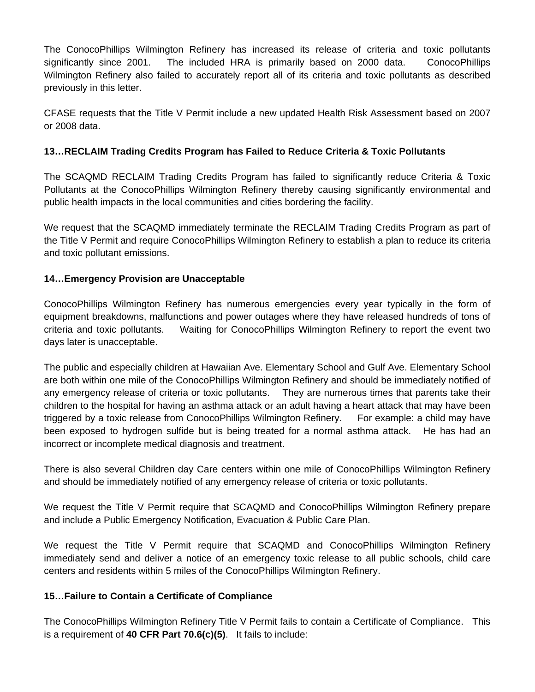The ConocoPhillips Wilmington Refinery has increased its release of criteria and toxic pollutants significantly since 2001. The included HRA is primarily based on 2000 data. ConocoPhillips Wilmington Refinery also failed to accurately report all of its criteria and toxic pollutants as described previously in this letter.

CFASE requests that the Title V Permit include a new updated Health Risk Assessment based on 2007 or 2008 data.

## **13…RECLAIM Trading Credits Program has Failed to Reduce Criteria & Toxic Pollutants**

The SCAQMD RECLAIM Trading Credits Program has failed to significantly reduce Criteria & Toxic Pollutants at the ConocoPhillips Wilmington Refinery thereby causing significantly environmental and public health impacts in the local communities and cities bordering the facility.

We request that the SCAQMD immediately terminate the RECLAIM Trading Credits Program as part of the Title V Permit and require ConocoPhillips Wilmington Refinery to establish a plan to reduce its criteria and toxic pollutant emissions.

### **14…Emergency Provision are Unacceptable**

ConocoPhillips Wilmington Refinery has numerous emergencies every year typically in the form of equipment breakdowns, malfunctions and power outages where they have released hundreds of tons of criteria and toxic pollutants. Waiting for ConocoPhillips Wilmington Refinery to report the event two days later is unacceptable.

The public and especially children at Hawaiian Ave. Elementary School and Gulf Ave. Elementary School are both within one mile of the ConocoPhillips Wilmington Refinery and should be immediately notified of any emergency release of criteria or toxic pollutants. They are numerous times that parents take their children to the hospital for having an asthma attack or an adult having a heart attack that may have been triggered by a toxic release from ConocoPhillips Wilmington Refinery. For example: a child may have been exposed to hydrogen sulfide but is being treated for a normal asthma attack. He has had an incorrect or incomplete medical diagnosis and treatment.

There is also several Children day Care centers within one mile of ConocoPhillips Wilmington Refinery and should be immediately notified of any emergency release of criteria or toxic pollutants.

We request the Title V Permit require that SCAQMD and ConocoPhillips Wilmington Refinery prepare and include a Public Emergency Notification, Evacuation & Public Care Plan.

We request the Title V Permit require that SCAQMD and ConocoPhillips Wilmington Refinery immediately send and deliver a notice of an emergency toxic release to all public schools, child care centers and residents within 5 miles of the ConocoPhillips Wilmington Refinery.

### **15…Failure to Contain a Certificate of Compliance**

The ConocoPhillips Wilmington Refinery Title V Permit fails to contain a Certificate of Compliance. This is a requirement of **40 CFR Part 70.6(c)(5)**. It fails to include: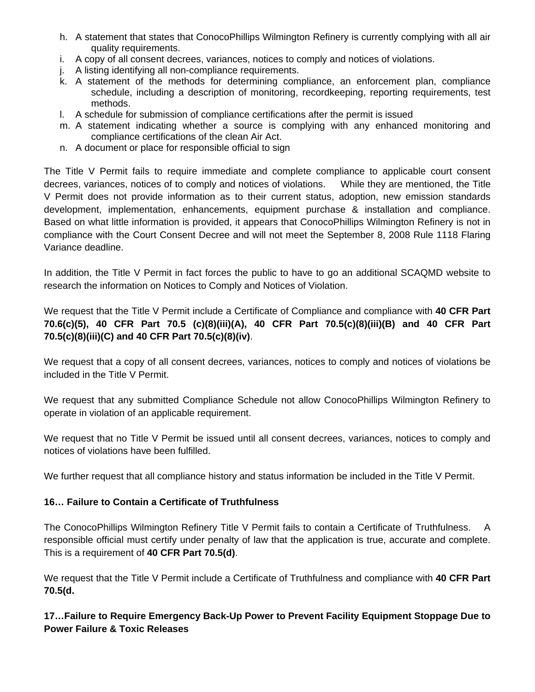- h. A statement that states that ConocoPhillips Wilmington Refinery is currently complying with all air quality requirements.
- i. A copy of all consent decrees, variances, notices to comply and notices of violations.
- j. A listing identifying all non-compliance requirements.
- k. A statement of the methods for determining compliance, an enforcement plan, compliance schedule, including a description of monitoring, recordkeeping, reporting requirements, test methods.
- l. A schedule for submission of compliance certifications after the permit is issued
- m. A statement indicating whether a source is complying with any enhanced monitoring and compliance certifications of the clean Air Act.
- n. A document or place for responsible official to sign

The Title V Permit fails to require immediate and complete compliance to applicable court consent decrees, variances, notices of to comply and notices of violations. While they are mentioned, the Title V Permit does not provide information as to their current status, adoption, new emission standards development, implementation, enhancements, equipment purchase & installation and compliance. Based on what little information is provided, it appears that ConocoPhillips Wilmington Refinery is not in compliance with the Court Consent Decree and will not meet the September 8, 2008 Rule 1118 Flaring Variance deadline.

In addition, the Title V Permit in fact forces the public to have to go an additional SCAQMD website to research the information on Notices to Comply and Notices of Violation.

We request that the Title V Permit include a Certificate of Compliance and compliance with **40 CFR Part 70.6(c)(5), 40 CFR Part 70.5 (c)(8)(iii)(A), 40 CFR Part 70.5(c)(8)(iii)(B) and 40 CFR Part 70.5(c)(8)(iii)(C) and 40 CFR Part 70.5(c)(8)(iv)**.

We request that a copy of all consent decrees, variances, notices to comply and notices of violations be included in the Title V Permit.

We request that any submitted Compliance Schedule not allow ConocoPhillips Wilmington Refinery to operate in violation of an applicable requirement.

We request that no Title V Permit be issued until all consent decrees, variances, notices to comply and notices of violations have been fulfilled.

We further request that all compliance history and status information be included in the Title V Permit.

## **16… Failure to Contain a Certificate of Truthfulness**

The ConocoPhillips Wilmington Refinery Title V Permit fails to contain a Certificate of Truthfulness. A responsible official must certify under penalty of law that the application is true, accurate and complete. This is a requirement of **40 CFR Part 70.5(d)**.

We request that the Title V Permit include a Certificate of Truthfulness and compliance with **40 CFR Part 70.5(d.** 

## **17…Failure to Require Emergency Back-Up Power to Prevent Facility Equipment Stoppage Due to Power Failure & Toxic Releases**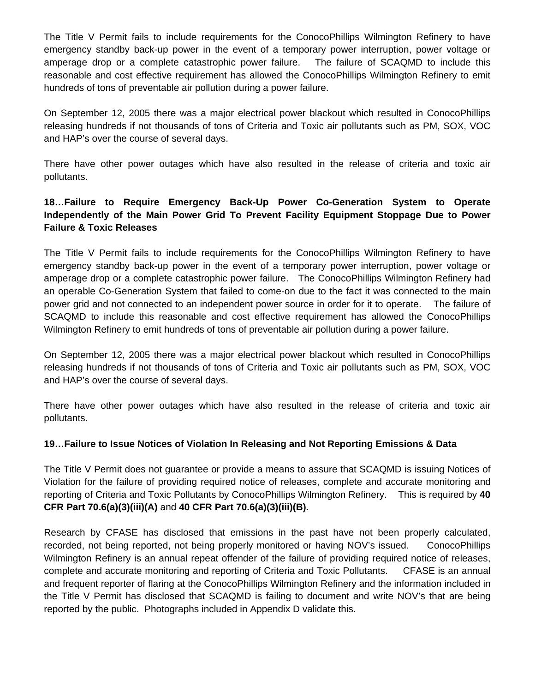The Title V Permit fails to include requirements for the ConocoPhillips Wilmington Refinery to have emergency standby back-up power in the event of a temporary power interruption, power voltage or amperage drop or a complete catastrophic power failure. The failure of SCAQMD to include this reasonable and cost effective requirement has allowed the ConocoPhillips Wilmington Refinery to emit hundreds of tons of preventable air pollution during a power failure.

On September 12, 2005 there was a major electrical power blackout which resulted in ConocoPhillips releasing hundreds if not thousands of tons of Criteria and Toxic air pollutants such as PM, SOX, VOC and HAP's over the course of several days.

There have other power outages which have also resulted in the release of criteria and toxic air pollutants.

## **18…Failure to Require Emergency Back-Up Power Co-Generation System to Operate Independently of the Main Power Grid To Prevent Facility Equipment Stoppage Due to Power Failure & Toxic Releases**

The Title V Permit fails to include requirements for the ConocoPhillips Wilmington Refinery to have emergency standby back-up power in the event of a temporary power interruption, power voltage or amperage drop or a complete catastrophic power failure. The ConocoPhillips Wilmington Refinery had an operable Co-Generation System that failed to come-on due to the fact it was connected to the main power grid and not connected to an independent power source in order for it to operate. The failure of SCAQMD to include this reasonable and cost effective requirement has allowed the ConocoPhillips Wilmington Refinery to emit hundreds of tons of preventable air pollution during a power failure.

On September 12, 2005 there was a major electrical power blackout which resulted in ConocoPhillips releasing hundreds if not thousands of tons of Criteria and Toxic air pollutants such as PM, SOX, VOC and HAP's over the course of several days.

There have other power outages which have also resulted in the release of criteria and toxic air pollutants.

### **19…Failure to Issue Notices of Violation In Releasing and Not Reporting Emissions & Data**

The Title V Permit does not guarantee or provide a means to assure that SCAQMD is issuing Notices of Violation for the failure of providing required notice of releases, complete and accurate monitoring and reporting of Criteria and Toxic Pollutants by ConocoPhillips Wilmington Refinery. This is required by **40 CFR Part 70.6(a)(3)(iii)(A)** and **40 CFR Part 70.6(a)(3)(iii)(B).**

Research by CFASE has disclosed that emissions in the past have not been properly calculated, recorded, not being reported, not being properly monitored or having NOV's issued. ConocoPhillips Wilmington Refinery is an annual repeat offender of the failure of providing required notice of releases, complete and accurate monitoring and reporting of Criteria and Toxic Pollutants. CFASE is an annual and frequent reporter of flaring at the ConocoPhillips Wilmington Refinery and the information included in the Title V Permit has disclosed that SCAQMD is failing to document and write NOV's that are being reported by the public. Photographs included in Appendix D validate this.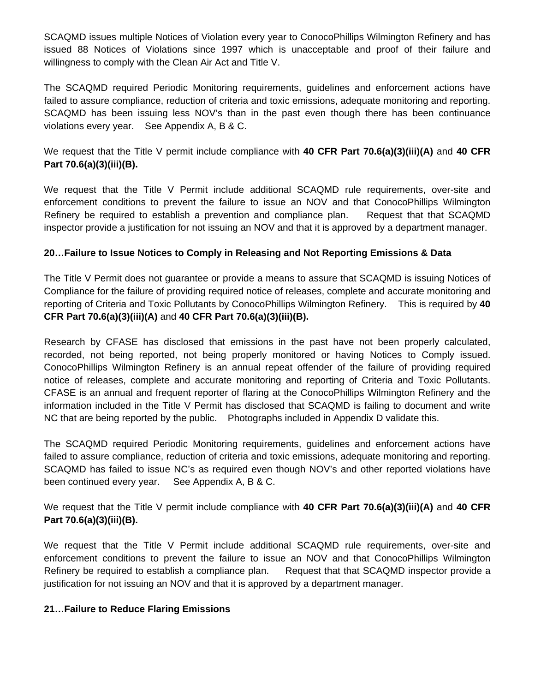SCAQMD issues multiple Notices of Violation every year to ConocoPhillips Wilmington Refinery and has issued 88 Notices of Violations since 1997 which is unacceptable and proof of their failure and willingness to comply with the Clean Air Act and Title V.

The SCAQMD required Periodic Monitoring requirements, guidelines and enforcement actions have failed to assure compliance, reduction of criteria and toxic emissions, adequate monitoring and reporting. SCAQMD has been issuing less NOV's than in the past even though there has been continuance violations every year. See Appendix A, B & C.

We request that the Title V permit include compliance with **40 CFR Part 70.6(a)(3)(iii)(A)** and **40 CFR Part 70.6(a)(3)(iii)(B).**

We request that the Title V Permit include additional SCAQMD rule requirements, over-site and enforcement conditions to prevent the failure to issue an NOV and that ConocoPhillips Wilmington Refinery be required to establish a prevention and compliance plan. Request that that SCAQMD inspector provide a justification for not issuing an NOV and that it is approved by a department manager.

#### **20…Failure to Issue Notices to Comply in Releasing and Not Reporting Emissions & Data**

The Title V Permit does not guarantee or provide a means to assure that SCAQMD is issuing Notices of Compliance for the failure of providing required notice of releases, complete and accurate monitoring and reporting of Criteria and Toxic Pollutants by ConocoPhillips Wilmington Refinery. This is required by **40 CFR Part 70.6(a)(3)(iii)(A)** and **40 CFR Part 70.6(a)(3)(iii)(B).**

Research by CFASE has disclosed that emissions in the past have not been properly calculated, recorded, not being reported, not being properly monitored or having Notices to Comply issued. ConocoPhillips Wilmington Refinery is an annual repeat offender of the failure of providing required notice of releases, complete and accurate monitoring and reporting of Criteria and Toxic Pollutants. CFASE is an annual and frequent reporter of flaring at the ConocoPhillips Wilmington Refinery and the information included in the Title V Permit has disclosed that SCAQMD is failing to document and write NC that are being reported by the public. Photographs included in Appendix D validate this.

The SCAQMD required Periodic Monitoring requirements, guidelines and enforcement actions have failed to assure compliance, reduction of criteria and toxic emissions, adequate monitoring and reporting. SCAQMD has failed to issue NC's as required even though NOV's and other reported violations have been continued every year. See Appendix A, B & C.

We request that the Title V permit include compliance with **40 CFR Part 70.6(a)(3)(iii)(A)** and **40 CFR Part 70.6(a)(3)(iii)(B).**

We request that the Title V Permit include additional SCAQMD rule requirements, over-site and enforcement conditions to prevent the failure to issue an NOV and that ConocoPhillips Wilmington Refinery be required to establish a compliance plan. Request that that SCAQMD inspector provide a justification for not issuing an NOV and that it is approved by a department manager.

#### **21…Failure to Reduce Flaring Emissions**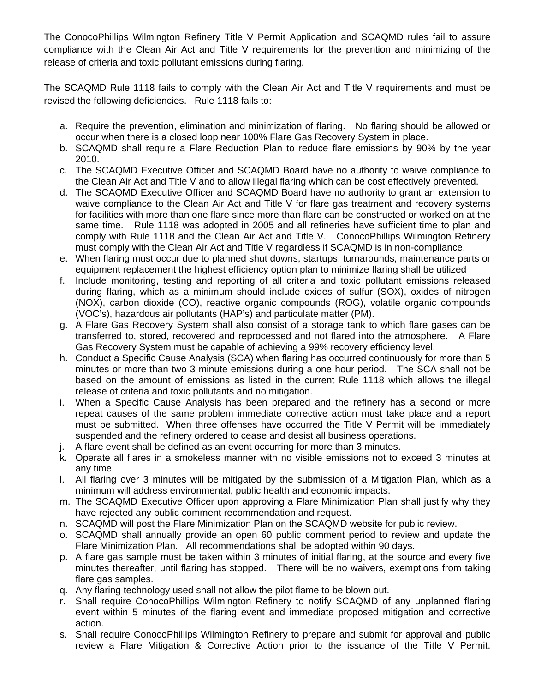The ConocoPhillips Wilmington Refinery Title V Permit Application and SCAQMD rules fail to assure compliance with the Clean Air Act and Title V requirements for the prevention and minimizing of the release of criteria and toxic pollutant emissions during flaring.

The SCAQMD Rule 1118 fails to comply with the Clean Air Act and Title V requirements and must be revised the following deficiencies. Rule 1118 fails to:

- a. Require the prevention, elimination and minimization of flaring. No flaring should be allowed or occur when there is a closed loop near 100% Flare Gas Recovery System in place.
- b. SCAQMD shall require a Flare Reduction Plan to reduce flare emissions by 90% by the year 2010.
- c. The SCAQMD Executive Officer and SCAQMD Board have no authority to waive compliance to the Clean Air Act and Title V and to allow illegal flaring which can be cost effectively prevented.
- d. The SCAQMD Executive Officer and SCAQMD Board have no authority to grant an extension to waive compliance to the Clean Air Act and Title V for flare gas treatment and recovery systems for facilities with more than one flare since more than flare can be constructed or worked on at the same time. Rule 1118 was adopted in 2005 and all refineries have sufficient time to plan and comply with Rule 1118 and the Clean Air Act and Title V. ConocoPhillips Wilmington Refinery must comply with the Clean Air Act and Title V regardless if SCAQMD is in non-compliance.
- e. When flaring must occur due to planned shut downs, startups, turnarounds, maintenance parts or equipment replacement the highest efficiency option plan to minimize flaring shall be utilized
- f. Include monitoring, testing and reporting of all criteria and toxic pollutant emissions released during flaring, which as a minimum should include oxides of sulfur (SOX), oxides of nitrogen (NOX), carbon dioxide (CO), reactive organic compounds (ROG), volatile organic compounds (VOC's), hazardous air pollutants (HAP's) and particulate matter (PM).
- g. A Flare Gas Recovery System shall also consist of a storage tank to which flare gases can be transferred to, stored, recovered and reprocessed and not flared into the atmosphere. A Flare Gas Recovery System must be capable of achieving a 99% recovery efficiency level.
- h. Conduct a Specific Cause Analysis (SCA) when flaring has occurred continuously for more than 5 minutes or more than two 3 minute emissions during a one hour period. The SCA shall not be based on the amount of emissions as listed in the current Rule 1118 which allows the illegal release of criteria and toxic pollutants and no mitigation.
- i. When a Specific Cause Analysis has been prepared and the refinery has a second or more repeat causes of the same problem immediate corrective action must take place and a report must be submitted. When three offenses have occurred the Title V Permit will be immediately suspended and the refinery ordered to cease and desist all business operations.
- j. A flare event shall be defined as an event occurring for more than 3 minutes.
- k. Operate all flares in a smokeless manner with no visible emissions not to exceed 3 minutes at any time.
- l. All flaring over 3 minutes will be mitigated by the submission of a Mitigation Plan, which as a minimum will address environmental, public health and economic impacts.
- m. The SCAQMD Executive Officer upon approving a Flare Minimization Plan shall justify why they have rejected any public comment recommendation and request.
- n. SCAQMD will post the Flare Minimization Plan on the SCAQMD website for public review.
- o. SCAQMD shall annually provide an open 60 public comment period to review and update the Flare Minimization Plan. All recommendations shall be adopted within 90 days.
- p. A flare gas sample must be taken within 3 minutes of initial flaring, at the source and every five minutes thereafter, until flaring has stopped. There will be no waivers, exemptions from taking flare gas samples.
- q. Any flaring technology used shall not allow the pilot flame to be blown out.
- r. Shall require ConocoPhillips Wilmington Refinery to notify SCAQMD of any unplanned flaring event within 5 minutes of the flaring event and immediate proposed mitigation and corrective action.
- s. Shall require ConocoPhillips Wilmington Refinery to prepare and submit for approval and public review a Flare Mitigation & Corrective Action prior to the issuance of the Title V Permit.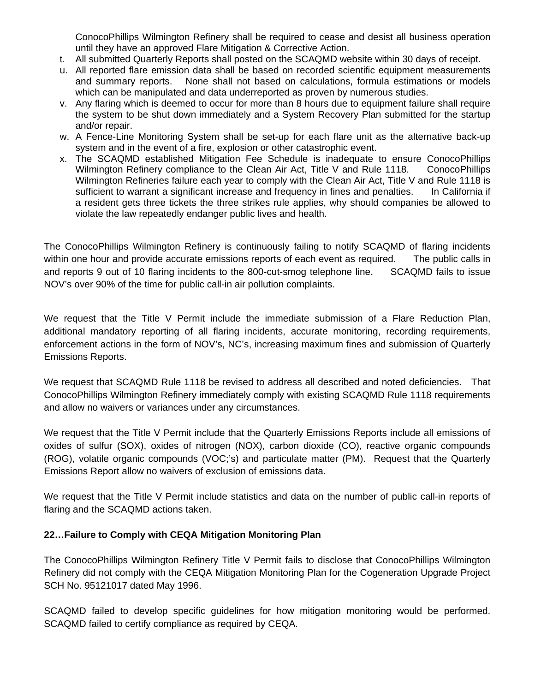ConocoPhillips Wilmington Refinery shall be required to cease and desist all business operation until they have an approved Flare Mitigation & Corrective Action.

- t. All submitted Quarterly Reports shall posted on the SCAQMD website within 30 days of receipt.
- u. All reported flare emission data shall be based on recorded scientific equipment measurements and summary reports. None shall not based on calculations, formula estimations or models which can be manipulated and data underreported as proven by numerous studies.
- v. Any flaring which is deemed to occur for more than 8 hours due to equipment failure shall require the system to be shut down immediately and a System Recovery Plan submitted for the startup and/or repair.
- w. A Fence-Line Monitoring System shall be set-up for each flare unit as the alternative back-up system and in the event of a fire, explosion or other catastrophic event.
- x. The SCAQMD established Mitigation Fee Schedule is inadequate to ensure ConocoPhillips Wilmington Refinery compliance to the Clean Air Act, Title V and Rule 1118. ConocoPhillips Wilmington Refineries failure each year to comply with the Clean Air Act, Title V and Rule 1118 is sufficient to warrant a significant increase and frequency in fines and penalties. In California if a resident gets three tickets the three strikes rule applies, why should companies be allowed to violate the law repeatedly endanger public lives and health.

The ConocoPhillips Wilmington Refinery is continuously failing to notify SCAQMD of flaring incidents within one hour and provide accurate emissions reports of each event as required. The public calls in and reports 9 out of 10 flaring incidents to the 800-cut-smog telephone line. SCAQMD fails to issue NOV's over 90% of the time for public call-in air pollution complaints.

We request that the Title V Permit include the immediate submission of a Flare Reduction Plan, additional mandatory reporting of all flaring incidents, accurate monitoring, recording requirements, enforcement actions in the form of NOV's, NC's, increasing maximum fines and submission of Quarterly Emissions Reports.

We request that SCAQMD Rule 1118 be revised to address all described and noted deficiencies. That ConocoPhillips Wilmington Refinery immediately comply with existing SCAQMD Rule 1118 requirements and allow no waivers or variances under any circumstances.

We request that the Title V Permit include that the Quarterly Emissions Reports include all emissions of oxides of sulfur (SOX), oxides of nitrogen (NOX), carbon dioxide (CO), reactive organic compounds (ROG), volatile organic compounds (VOC;'s) and particulate matter (PM). Request that the Quarterly Emissions Report allow no waivers of exclusion of emissions data.

We request that the Title V Permit include statistics and data on the number of public call-in reports of flaring and the SCAQMD actions taken.

### **22…Failure to Comply with CEQA Mitigation Monitoring Plan**

The ConocoPhillips Wilmington Refinery Title V Permit fails to disclose that ConocoPhillips Wilmington Refinery did not comply with the CEQA Mitigation Monitoring Plan for the Cogeneration Upgrade Project SCH No. 95121017 dated May 1996.

SCAQMD failed to develop specific guidelines for how mitigation monitoring would be performed. SCAQMD failed to certify compliance as required by CEQA.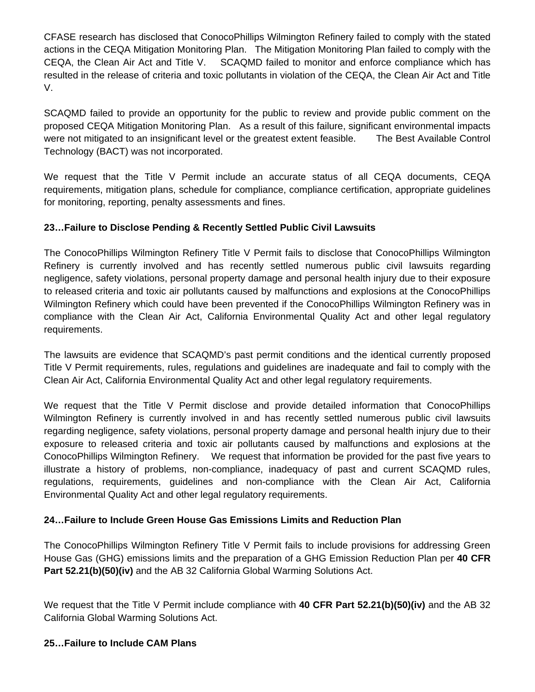CFASE research has disclosed that ConocoPhillips Wilmington Refinery failed to comply with the stated actions in the CEQA Mitigation Monitoring Plan. The Mitigation Monitoring Plan failed to comply with the CEQA, the Clean Air Act and Title V. SCAQMD failed to monitor and enforce compliance which has resulted in the release of criteria and toxic pollutants in violation of the CEQA, the Clean Air Act and Title V.

SCAQMD failed to provide an opportunity for the public to review and provide public comment on the proposed CEQA Mitigation Monitoring Plan. As a result of this failure, significant environmental impacts were not mitigated to an insignificant level or the greatest extent feasible. The Best Available Control Technology (BACT) was not incorporated.

We request that the Title V Permit include an accurate status of all CEQA documents, CEQA requirements, mitigation plans, schedule for compliance, compliance certification, appropriate guidelines for monitoring, reporting, penalty assessments and fines.

## **23…Failure to Disclose Pending & Recently Settled Public Civil Lawsuits**

The ConocoPhillips Wilmington Refinery Title V Permit fails to disclose that ConocoPhillips Wilmington Refinery is currently involved and has recently settled numerous public civil lawsuits regarding negligence, safety violations, personal property damage and personal health injury due to their exposure to released criteria and toxic air pollutants caused by malfunctions and explosions at the ConocoPhillips Wilmington Refinery which could have been prevented if the ConocoPhillips Wilmington Refinery was in compliance with the Clean Air Act, California Environmental Quality Act and other legal regulatory requirements.

The lawsuits are evidence that SCAQMD's past permit conditions and the identical currently proposed Title V Permit requirements, rules, regulations and guidelines are inadequate and fail to comply with the Clean Air Act, California Environmental Quality Act and other legal regulatory requirements.

We request that the Title V Permit disclose and provide detailed information that ConocoPhillips Wilmington Refinery is currently involved in and has recently settled numerous public civil lawsuits regarding negligence, safety violations, personal property damage and personal health injury due to their exposure to released criteria and toxic air pollutants caused by malfunctions and explosions at the ConocoPhillips Wilmington Refinery. We request that information be provided for the past five years to illustrate a history of problems, non-compliance, inadequacy of past and current SCAQMD rules, regulations, requirements, guidelines and non-compliance with the Clean Air Act, California Environmental Quality Act and other legal regulatory requirements.

### **24…Failure to Include Green House Gas Emissions Limits and Reduction Plan**

The ConocoPhillips Wilmington Refinery Title V Permit fails to include provisions for addressing Green House Gas (GHG) emissions limits and the preparation of a GHG Emission Reduction Plan per **40 CFR Part 52.21(b)(50)(iv)** and the AB 32 California Global Warming Solutions Act.

We request that the Title V Permit include compliance with **40 CFR Part 52.21(b)(50)(iv)** and the AB 32 California Global Warming Solutions Act.

### **25…Failure to Include CAM Plans**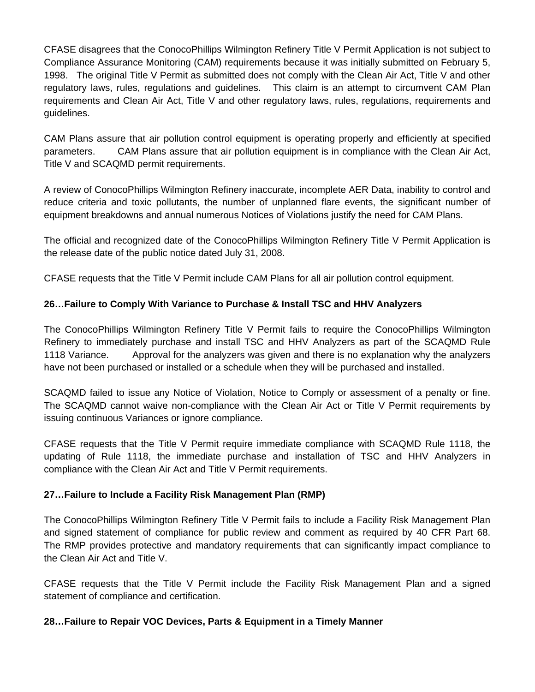CFASE disagrees that the ConocoPhillips Wilmington Refinery Title V Permit Application is not subject to Compliance Assurance Monitoring (CAM) requirements because it was initially submitted on February 5, 1998. The original Title V Permit as submitted does not comply with the Clean Air Act, Title V and other regulatory laws, rules, regulations and guidelines. This claim is an attempt to circumvent CAM Plan requirements and Clean Air Act, Title V and other regulatory laws, rules, regulations, requirements and guidelines.

CAM Plans assure that air pollution control equipment is operating properly and efficiently at specified parameters. CAM Plans assure that air pollution equipment is in compliance with the Clean Air Act, Title V and SCAQMD permit requirements.

A review of ConocoPhillips Wilmington Refinery inaccurate, incomplete AER Data, inability to control and reduce criteria and toxic pollutants, the number of unplanned flare events, the significant number of equipment breakdowns and annual numerous Notices of Violations justify the need for CAM Plans.

The official and recognized date of the ConocoPhillips Wilmington Refinery Title V Permit Application is the release date of the public notice dated July 31, 2008.

CFASE requests that the Title V Permit include CAM Plans for all air pollution control equipment.

### **26…Failure to Comply With Variance to Purchase & Install TSC and HHV Analyzers**

The ConocoPhillips Wilmington Refinery Title V Permit fails to require the ConocoPhillips Wilmington Refinery to immediately purchase and install TSC and HHV Analyzers as part of the SCAQMD Rule 1118 Variance. Approval for the analyzers was given and there is no explanation why the analyzers have not been purchased or installed or a schedule when they will be purchased and installed.

SCAQMD failed to issue any Notice of Violation, Notice to Comply or assessment of a penalty or fine. The SCAQMD cannot waive non-compliance with the Clean Air Act or Title V Permit requirements by issuing continuous Variances or ignore compliance.

CFASE requests that the Title V Permit require immediate compliance with SCAQMD Rule 1118, the updating of Rule 1118, the immediate purchase and installation of TSC and HHV Analyzers in compliance with the Clean Air Act and Title V Permit requirements.

#### **27…Failure to Include a Facility Risk Management Plan (RMP)**

The ConocoPhillips Wilmington Refinery Title V Permit fails to include a Facility Risk Management Plan and signed statement of compliance for public review and comment as required by 40 CFR Part 68. The RMP provides protective and mandatory requirements that can significantly impact compliance to the Clean Air Act and Title V.

CFASE requests that the Title V Permit include the Facility Risk Management Plan and a signed statement of compliance and certification.

#### **28…Failure to Repair VOC Devices, Parts & Equipment in a Timely Manner**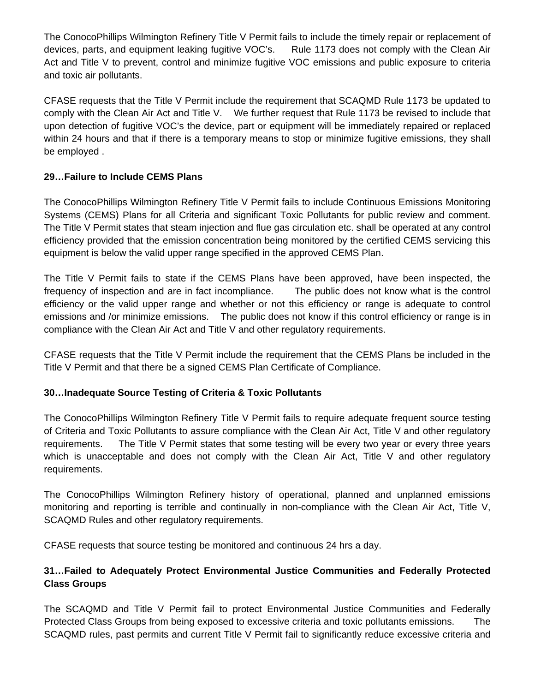The ConocoPhillips Wilmington Refinery Title V Permit fails to include the timely repair or replacement of devices, parts, and equipment leaking fugitive VOC's. Rule 1173 does not comply with the Clean Air Act and Title V to prevent, control and minimize fugitive VOC emissions and public exposure to criteria and toxic air pollutants.

CFASE requests that the Title V Permit include the requirement that SCAQMD Rule 1173 be updated to comply with the Clean Air Act and Title V. We further request that Rule 1173 be revised to include that upon detection of fugitive VOC's the device, part or equipment will be immediately repaired or replaced within 24 hours and that if there is a temporary means to stop or minimize fugitive emissions, they shall be employed .

### **29…Failure to Include CEMS Plans**

The ConocoPhillips Wilmington Refinery Title V Permit fails to include Continuous Emissions Monitoring Systems (CEMS) Plans for all Criteria and significant Toxic Pollutants for public review and comment. The Title V Permit states that steam injection and flue gas circulation etc. shall be operated at any control efficiency provided that the emission concentration being monitored by the certified CEMS servicing this equipment is below the valid upper range specified in the approved CEMS Plan.

The Title V Permit fails to state if the CEMS Plans have been approved, have been inspected, the frequency of inspection and are in fact incompliance. The public does not know what is the control efficiency or the valid upper range and whether or not this efficiency or range is adequate to control emissions and /or minimize emissions. The public does not know if this control efficiency or range is in compliance with the Clean Air Act and Title V and other regulatory requirements.

CFASE requests that the Title V Permit include the requirement that the CEMS Plans be included in the Title V Permit and that there be a signed CEMS Plan Certificate of Compliance.

### **30…Inadequate Source Testing of Criteria & Toxic Pollutants**

The ConocoPhillips Wilmington Refinery Title V Permit fails to require adequate frequent source testing of Criteria and Toxic Pollutants to assure compliance with the Clean Air Act, Title V and other regulatory requirements. The Title V Permit states that some testing will be every two year or every three years which is unacceptable and does not comply with the Clean Air Act, Title V and other regulatory requirements.

The ConocoPhillips Wilmington Refinery history of operational, planned and unplanned emissions monitoring and reporting is terrible and continually in non-compliance with the Clean Air Act, Title V, SCAQMD Rules and other regulatory requirements.

CFASE requests that source testing be monitored and continuous 24 hrs a day.

## **31…Failed to Adequately Protect Environmental Justice Communities and Federally Protected Class Groups**

The SCAQMD and Title V Permit fail to protect Environmental Justice Communities and Federally Protected Class Groups from being exposed to excessive criteria and toxic pollutants emissions. The SCAQMD rules, past permits and current Title V Permit fail to significantly reduce excessive criteria and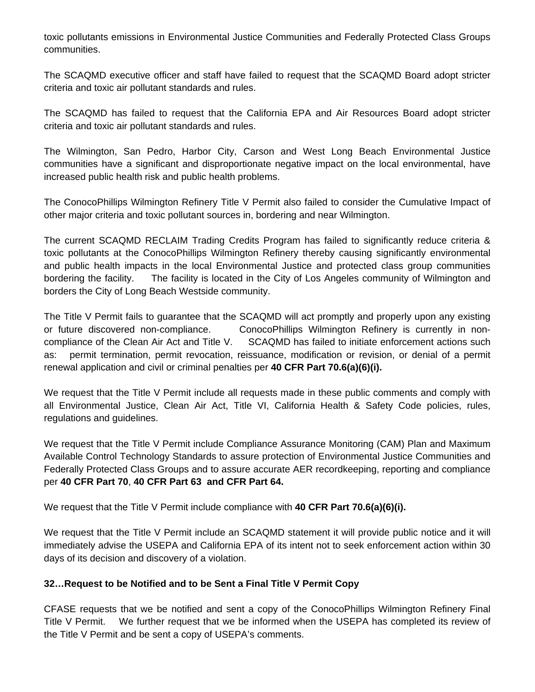toxic pollutants emissions in Environmental Justice Communities and Federally Protected Class Groups communities.

The SCAQMD executive officer and staff have failed to request that the SCAQMD Board adopt stricter criteria and toxic air pollutant standards and rules.

The SCAQMD has failed to request that the California EPA and Air Resources Board adopt stricter criteria and toxic air pollutant standards and rules.

The Wilmington, San Pedro, Harbor City, Carson and West Long Beach Environmental Justice communities have a significant and disproportionate negative impact on the local environmental, have increased public health risk and public health problems.

The ConocoPhillips Wilmington Refinery Title V Permit also failed to consider the Cumulative Impact of other major criteria and toxic pollutant sources in, bordering and near Wilmington.

The current SCAQMD RECLAIM Trading Credits Program has failed to significantly reduce criteria & toxic pollutants at the ConocoPhillips Wilmington Refinery thereby causing significantly environmental and public health impacts in the local Environmental Justice and protected class group communities bordering the facility. The facility is located in the City of Los Angeles community of Wilmington and borders the City of Long Beach Westside community.

The Title V Permit fails to guarantee that the SCAQMD will act promptly and properly upon any existing or future discovered non-compliance. ConocoPhillips Wilmington Refinery is currently in noncompliance of the Clean Air Act and Title V. SCAQMD has failed to initiate enforcement actions such as: permit termination, permit revocation, reissuance, modification or revision, or denial of a permit renewal application and civil or criminal penalties per **40 CFR Part 70.6(a)(6)(i).** 

We request that the Title V Permit include all requests made in these public comments and comply with all Environmental Justice, Clean Air Act, Title VI, California Health & Safety Code policies, rules, regulations and guidelines.

We request that the Title V Permit include Compliance Assurance Monitoring (CAM) Plan and Maximum Available Control Technology Standards to assure protection of Environmental Justice Communities and Federally Protected Class Groups and to assure accurate AER recordkeeping, reporting and compliance per **40 CFR Part 70**, **40 CFR Part 63 and CFR Part 64.** 

We request that the Title V Permit include compliance with **40 CFR Part 70.6(a)(6)(i).** 

We request that the Title V Permit include an SCAQMD statement it will provide public notice and it will immediately advise the USEPA and California EPA of its intent not to seek enforcement action within 30 days of its decision and discovery of a violation.

### **32…Request to be Notified and to be Sent a Final Title V Permit Copy**

CFASE requests that we be notified and sent a copy of the ConocoPhillips Wilmington Refinery Final Title V Permit. We further request that we be informed when the USEPA has completed its review of the Title V Permit and be sent a copy of USEPA's comments.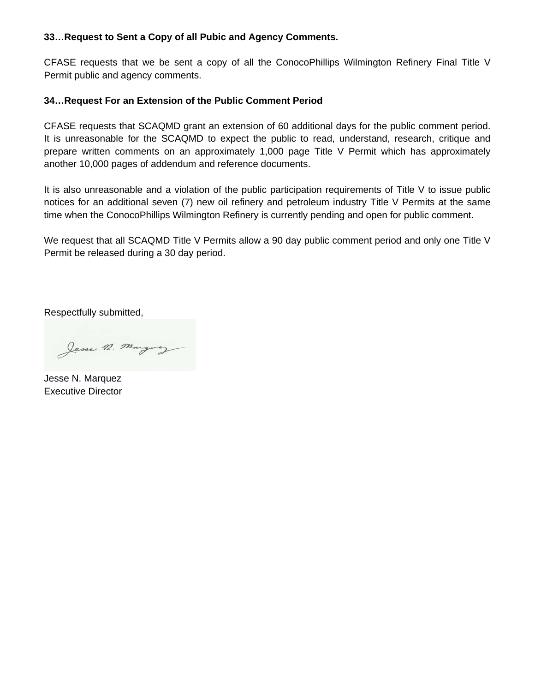#### **33…Request to Sent a Copy of all Pubic and Agency Comments.**

CFASE requests that we be sent a copy of all the ConocoPhillips Wilmington Refinery Final Title V Permit public and agency comments.

### **34…Request For an Extension of the Public Comment Period**

CFASE requests that SCAQMD grant an extension of 60 additional days for the public comment period. It is unreasonable for the SCAQMD to expect the public to read, understand, research, critique and prepare written comments on an approximately 1,000 page Title V Permit which has approximately another 10,000 pages of addendum and reference documents.

It is also unreasonable and a violation of the public participation requirements of Title V to issue public notices for an additional seven (7) new oil refinery and petroleum industry Title V Permits at the same time when the ConocoPhillips Wilmington Refinery is currently pending and open for public comment.

We request that all SCAQMD Title V Permits allow a 90 day public comment period and only one Title V Permit be released during a 30 day period.

Respectfully submitted,

Jesse n. Marguez

Jesse N. Marquez Executive Director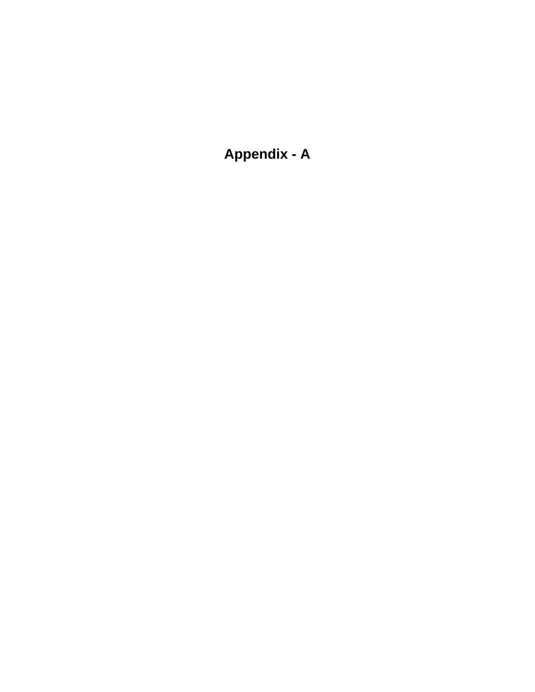**Appendix - A**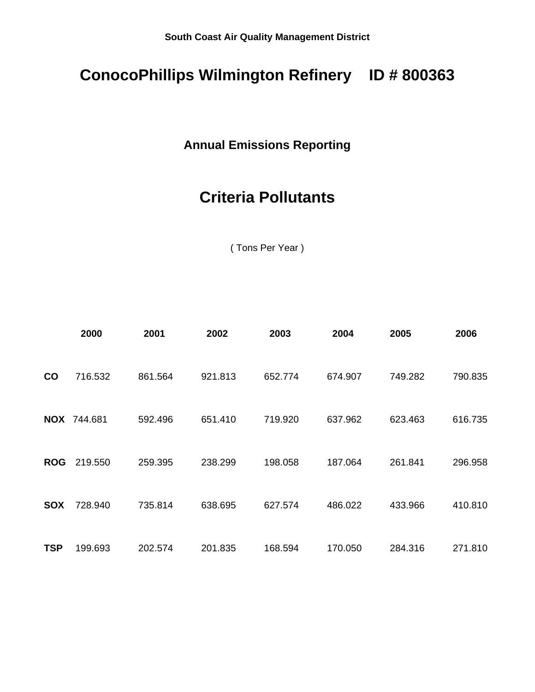## **ConocoPhillips Wilmington Refinery ID # 800363**

## **Annual Emissions Reporting**

# **Criteria Pollutants**

( Tons Per Year )

|               | 2000               | 2001    | 2002    | 2003    | 2004    | 2005    | 2006    |
|---------------|--------------------|---------|---------|---------|---------|---------|---------|
| $\mathsf{co}$ | 716.532            | 861.564 | 921.813 | 652.774 | 674.907 | 749.282 | 790.835 |
|               | <b>NOX 744.681</b> | 592.496 | 651.410 | 719.920 | 637.962 | 623.463 | 616.735 |
| <b>ROG</b>    | 219.550            | 259.395 | 238.299 | 198.058 | 187.064 | 261.841 | 296.958 |
| <b>SOX</b>    | 728.940            | 735.814 | 638.695 | 627.574 | 486.022 | 433.966 | 410.810 |
| <b>TSP</b>    | 199.693            | 202.574 | 201.835 | 168.594 | 170.050 | 284.316 | 271.810 |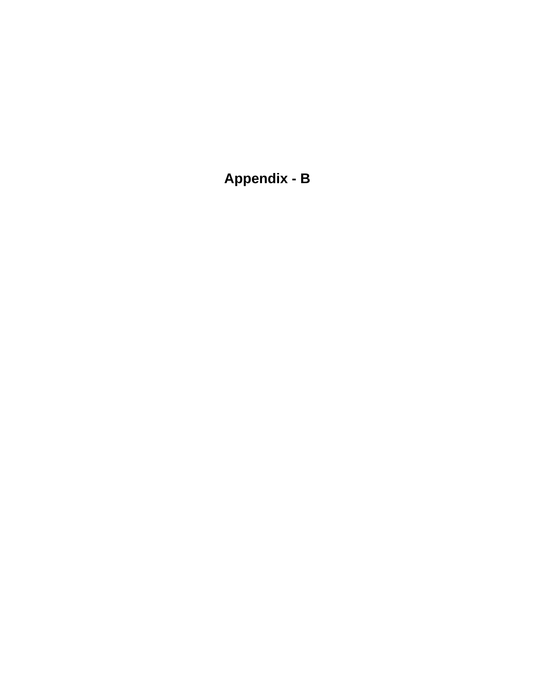**Appendix - B**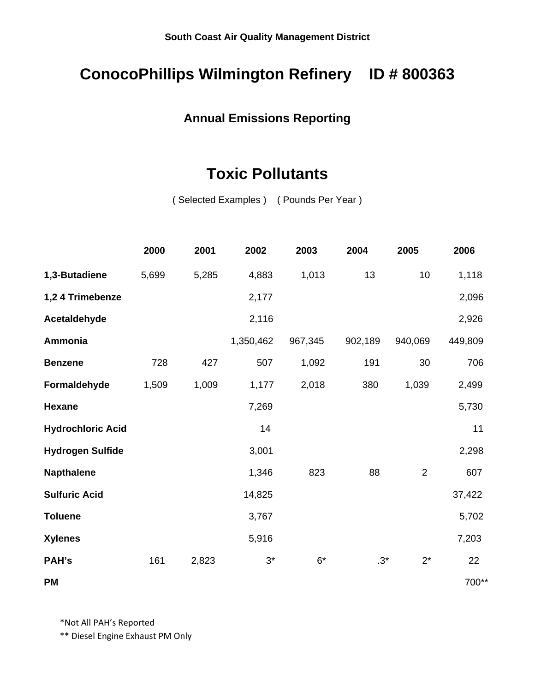## **ConocoPhillips Wilmington Refinery ID # 800363**

## **Annual Emissions Reporting**

## **Toxic Pollutants**

( Selected Examples ) ( Pounds Per Year )

|                          | 2000  | 2001  | 2002      | 2003    | 2004    | 2005           | 2006    |
|--------------------------|-------|-------|-----------|---------|---------|----------------|---------|
| 1,3-Butadiene            | 5,699 | 5,285 | 4,883     | 1,013   | 13      | 10             | 1,118   |
| 1,2 4 Trimebenze         |       |       | 2,177     |         |         |                | 2,096   |
| Acetaldehyde             |       |       | 2,116     |         |         |                | 2,926   |
| Ammonia                  |       |       | 1,350,462 | 967,345 | 902,189 | 940,069        | 449,809 |
| <b>Benzene</b>           | 728   | 427   | 507       | 1,092   | 191     | 30             | 706     |
| Formaldehyde             | 1,509 | 1,009 | 1,177     | 2,018   | 380     | 1,039          | 2,499   |
| <b>Hexane</b>            |       |       | 7,269     |         |         |                | 5,730   |
| <b>Hydrochloric Acid</b> |       |       | 14        |         |         |                | 11      |
| <b>Hydrogen Sulfide</b>  |       |       | 3,001     |         |         |                | 2,298   |
| <b>Napthalene</b>        |       |       | 1,346     | 823     | 88      | $\overline{c}$ | 607     |
| <b>Sulfuric Acid</b>     |       |       | 14,825    |         |         |                | 37,422  |
| <b>Toluene</b>           |       |       | 3,767     |         |         |                | 5,702   |
| <b>Xylenes</b>           |       |       | 5,916     |         |         |                | 7,203   |
| PAH's                    | 161   | 2,823 | $3^*$     | $6*$    | $.3*$   | $2^*$          | 22      |
| PM                       |       |       |           |         |         |                | 700**   |

\*Not All PAH's Reported

\*\* Diesel Engine Exhaust PM Only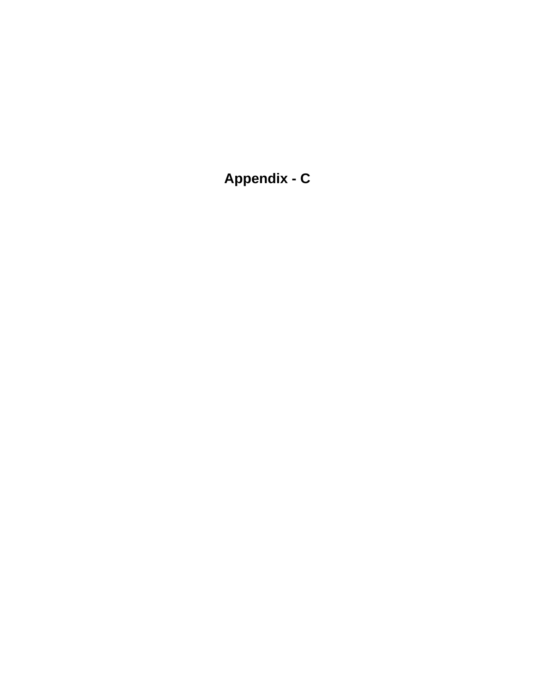**Appendix - C**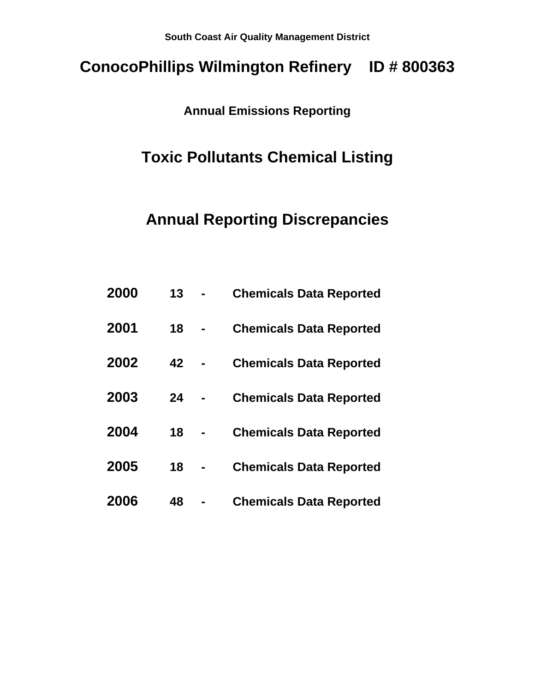# **ConocoPhillips Wilmington Refinery ID # 800363**

## **Annual Emissions Reporting**

## **Toxic Pollutants Chemical Listing**

## **Annual Reporting Discrepancies**

| 2000 | 13 | <b>Chemicals Data Reported</b> |
|------|----|--------------------------------|
| 2001 | 18 | <b>Chemicals Data Reported</b> |
| 2002 | 42 | <b>Chemicals Data Reported</b> |
| 2003 | 24 | <b>Chemicals Data Reported</b> |
| 2004 | 18 | <b>Chemicals Data Reported</b> |
| 2005 | 18 | <b>Chemicals Data Reported</b> |
| 2006 | 48 | <b>Chemicals Data Reported</b> |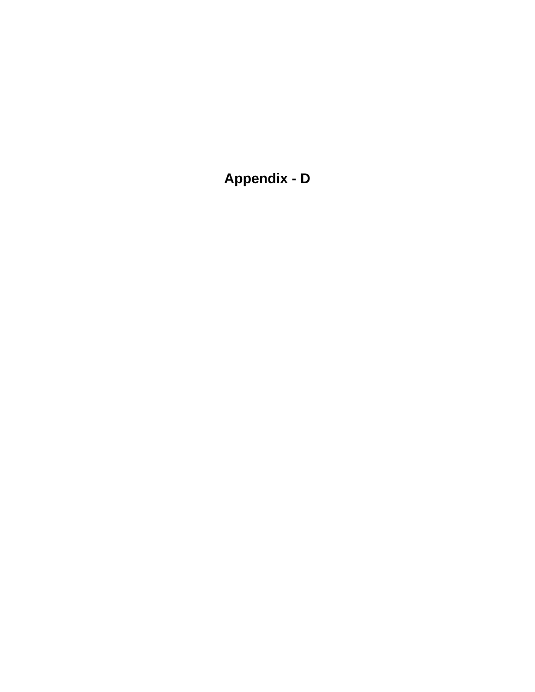**Appendix - D**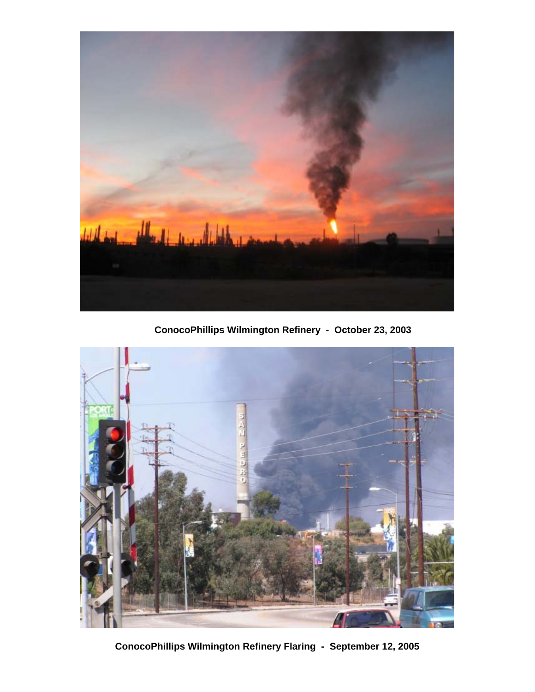

**ConocoPhillips Wilmington Refinery - October 23, 2003**



**ConocoPhillips Wilmington Refinery Flaring - September 12, 2005**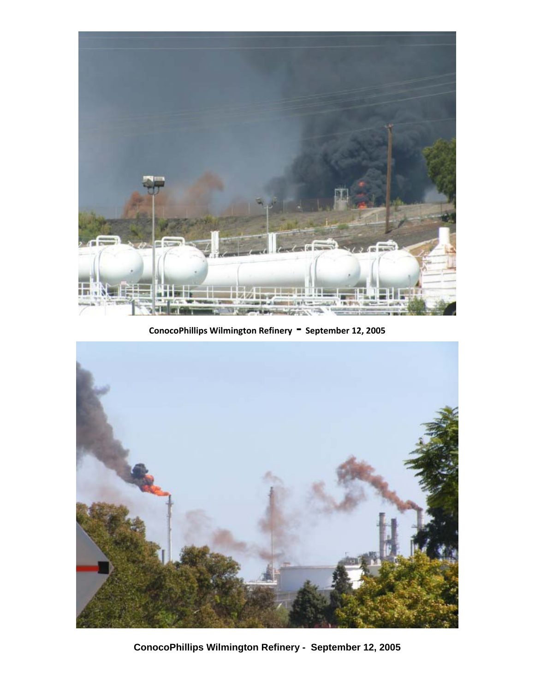

**ConocoPhillips Wilmington Refinery ‐ September 12, <sup>2005</sup>**



**ConocoPhillips Wilmington Refinery - September 12, 2005**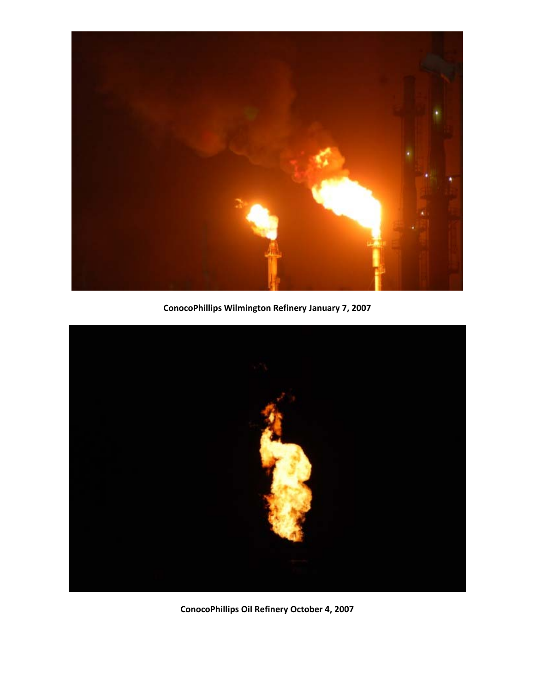

**ConocoPhillips Wilmington Refinery January 7, 2007**



**ConocoPhillips Oil Refinery October 4, 2007**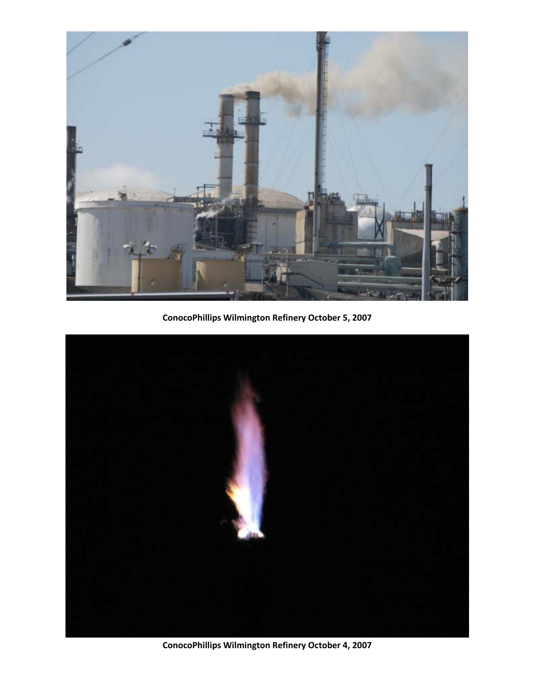

**ConocoPhillips Wilmington Refinery October 5, 2007**



**ConocoPhillips Wilmington Refinery October 4, 2007**